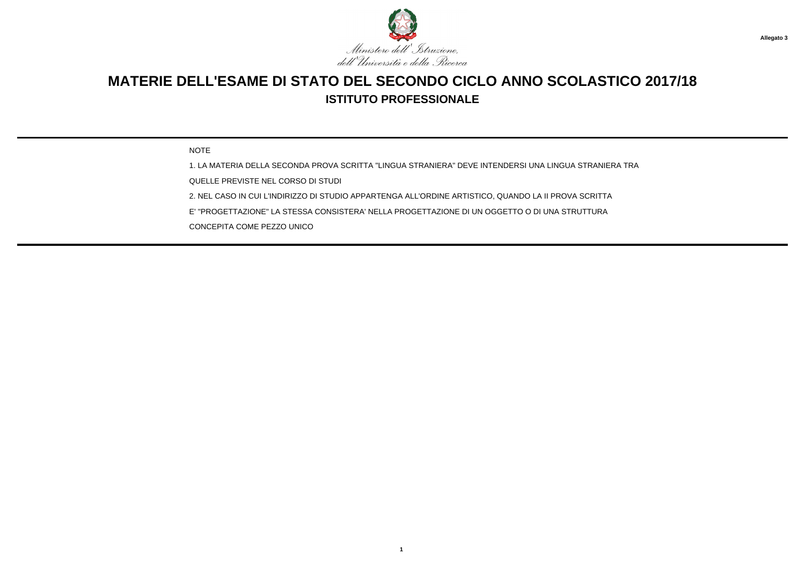

NOTE

1. LA MATERIA DELLA SECONDA PROVA SCRITTA "LINGUA STRANIERA" DEVE INTENDERSI UNA LINGUA STRANIERA TRA

QUELLE PREVISTE NEL CORSO DI STUDI

2. NEL CASO IN CUI L'INDIRIZZO DI STUDIO APPARTENGA ALL'ORDINE ARTISTICO, QUANDO LA II PROVA SCRITTA

E' "PROGETTAZIONE" LA STESSA CONSISTERA' NELLA PROGETTAZIONE DI UN OGGETTO O DI UNA STRUTTURA

CONCEPITA COME PEZZO UNICO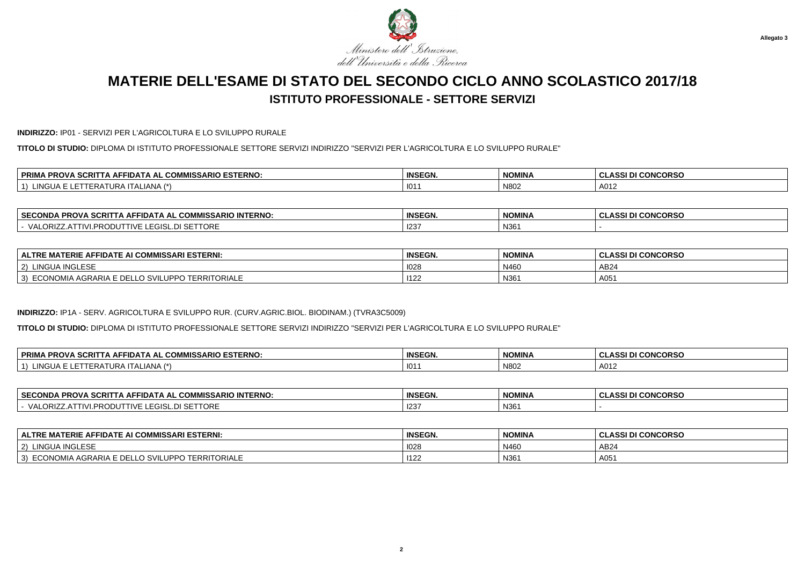

#### **INDIRIZZO:** IP01 - SERVIZI PER L'AGRICOLTURA E LO SVILUPPO RURALE

**TITOLO DI STUDIO:** DIPLOMA DI ISTITUTO PROFESSIONALE SETTORE SERVIZI INDIRIZZO "SERVIZI PER L'AGRICOLTURA E LO SVILUPPO RURALE"

| . COMMISSARIO ESTERNO:<br><b>SCRI</b><br><b>DDIM</b><br>. AFFIDAT<br><b>PRO.</b><br>AL. | <b>INSEGN.</b> | <b>NOMINA</b> | <b>I CONCORSO</b><br><b>CLASSI</b> |
|-----------------------------------------------------------------------------------------|----------------|---------------|------------------------------------|
| $1 \wedge 7 \times$<br>101<br>$\mathbf{H}$<br>ALIANA<br>"RH 1<br>I J N A                | 101            | N80           | A012                               |

| <b>SECC</b><br><b>IN 1771</b><br><b>INTERNO</b><br><b>'MISSARIO</b><br><b>BBAV</b><br>MM<br>IIA ALAIN<br><b>SURF</b><br>JNDA<br>FRU<br>uun | <b>INSEGN.</b> | NOMINA | <b>INICODEO</b><br>$\sim$<br>. .<br>.<br>טראטע<br>w<br>u<br>--- |
|--------------------------------------------------------------------------------------------------------------------------------------------|----------------|--------|-----------------------------------------------------------------|
| $-$ - $  -$<br>۱/Δ<br>7RIZ<br>IURE<br>--                                                                                                   | $\sim$<br>123  | N361   |                                                                 |

| FIDATE AI COMMISSARI ESTERNI:<br>'ERIE AFI<br><b>ALTRE</b><br>ு MA …                    | <b>INSEGN.</b> | <b>NOMINA</b> | <b>I CONCORSO</b><br><b>CLASSID</b> |
|-----------------------------------------------------------------------------------------|----------------|---------------|-------------------------------------|
| <b>A INGLESF</b><br>$ 2\rangle$<br>LINGU.                                               | 1028           | N460          | AB24                                |
| TERRITORIALE<br>∟CONOMIA AGRARIA F T<br>) SVILUI<br>---<br>3)<br>∕ DD ،<br>$\sim$<br>ᆫᆫ | 1122           | N361          | A05                                 |

### **INDIRIZZO:** IP1A - SERV. AGRICOLTURA E SVILUPPO RUR. (CURV.AGRIC.BIOL. BIODINAM.) (TVRA3C5009)

**TITOLO DI STUDIO:** DIPLOMA DI ISTITUTO PROFESSIONALE SETTORE SERVIZI INDIRIZZO "SERVIZI PER L'AGRICOLTURA E LO SVILUPPO RURALE"

| <b>SCRIT</b><br><b>PRIM</b><br><b>MISSARIO ESTERNO:</b><br><b>COMMICCA</b><br><b>PROVA</b><br>⊡DA ⊺<br>A AL<br>. IA AF | <b>INSEGN</b> | <b>NOMINA</b> | <b>I CONCORSO</b><br>DI |
|------------------------------------------------------------------------------------------------------------------------|---------------|---------------|-------------------------|
| 111C<br>(4)<br>◡<br>IANA<br>URA<br>$\mathbf{A}$<br><b>LINGUA</b><br>11. A L                                            | 101'          | N802          | A012                    |

| <b>SECONDA</b><br><b>PROVA SCRI.</b><br><b>≏OMMISSARIO INTERNO:</b><br>-IDATA AL<br>. IA AF' | <b>INSEGN.</b> | <b>NOMINA</b> | <b>CONCORSO</b><br>$\cdots$<br>u<br>---- |
|----------------------------------------------------------------------------------------------|----------------|---------------|------------------------------------------|
| <b>I SETTORE</b><br><b>ΔΙ</b><br>ORIZ<br>.<br>$\sqrt{ }$<br>EGISL.                           | 123            | N361          |                                          |

| <b>ALTRE MATERIE AFFIDATE AI COMMISSARI ESTERNI:</b>        | <b>INSEGN.</b> | <b>NOMINA</b> | ASSI DI CONCORSO |
|-------------------------------------------------------------|----------------|---------------|------------------|
| LINGUA INGLESE<br>$\sim$<br>-2)                             | 1028           | N460          | AB24             |
| ECONOMIA AGRARIA E DEL<br>O SVILUPPO TERRITORIALE<br>$\sim$ | 1122           | N361          | A05              |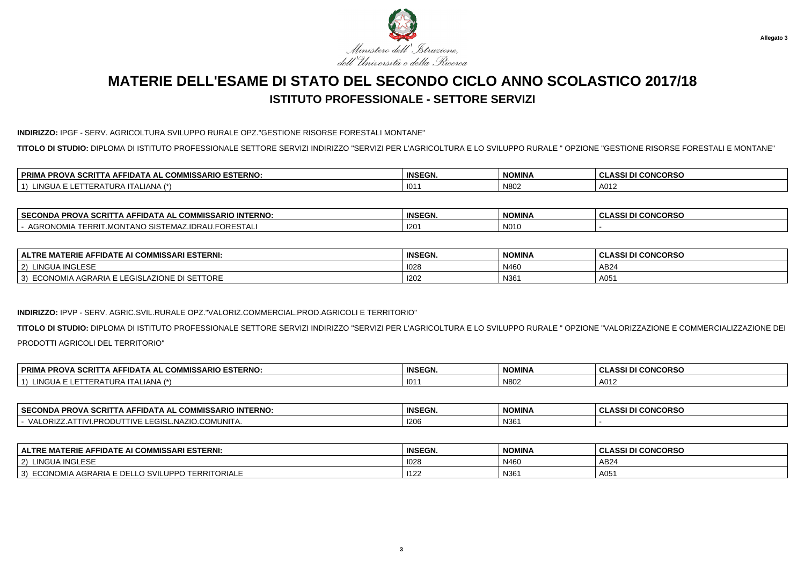

**Allegato 3**

## **MATERIE DELL'ESAME DI STATO DEL SECONDO CICLO ANNO SCOLASTICO 2017/18ISTITUTO PROFESSIONALE - SETTORE SERVIZI**

**INDIRIZZO:** IPGF - SERV. AGRICOLTURA SVILUPPO RURALE OPZ."GESTIONE RISORSE FORESTALI MONTANE"

**TITOLO DI STUDIO:** DIPLOMA DI ISTITUTO PROFESSIONALE SETTORE SERVIZI INDIRIZZO "SERVIZI PER L'AGRICOLTURA E LO SVILUPPO RURALE " OPZIONE "GESTIONE RISORSE FORESTALI E MONTANE"

| $\mathbf{c}$<br><b>SARIO ESTERNO.</b><br><b>DDIM</b><br>.<br><br><b>PROVA</b><br><b>SCRIT</b><br><br>. АН<br>IDA<br>- 41<br>ັບບໜໜາວວ.<br><b>KINA</b><br>. .<br><b>JANU</b> | <b>INSEGN.</b> | <b>NOMINA</b> | <b>CONCORSO</b><br>$\sim$<br>ULAJJI VI |
|----------------------------------------------------------------------------------------------------------------------------------------------------------------------------|----------------|---------------|----------------------------------------|
| $\left  \right $ $\left  \right $ $\left  \right $ $\left  \right $ $\left  \right $<br>ALIANA<br>- 11 JA<br>INC.<br>ERA<br>1. JR 5                                        | 101            | N80           | A012                                   |

| <b>∣SECONDA I</b><br><b>PROVA SCRITTA AFF.</b><br>MISSARIO INTERNO:<br>. FIDATA AL COMM⊺            | <b>INSEGN.</b>   | <b>NOMINA</b> | <b>I CONCORSO</b><br>.<br>ul<br>. |
|-----------------------------------------------------------------------------------------------------|------------------|---------------|-----------------------------------|
| .<br><b>ERRIT</b><br>$\sim$<br>IIDRAU.<br><b>RONOMIA</b><br>EMAZ<br>.MONTANO S<br>-URESTAL<br>ו כוי | 120 <sup>4</sup> | N010          |                                   |

| <b>IISSARI ESTERNI:</b><br>: AFFIDATE AI COMM<br>$\_$ MATERIE $\_$<br><b>ALTRE</b>                          | <b>INSEGN.</b> | <b>NOMINA</b> | <b>I CONCORSO</b><br>. ממו<br>A551 D.<br>◡└ |
|-------------------------------------------------------------------------------------------------------------|----------------|---------------|---------------------------------------------|
| JA INGLESE<br>LINGL<br>$\epsilon$                                                                           | 1028           | N460          | AB24                                        |
| <b>AZIONE DI SETTORE</b><br>$\lambda$ ECONO <sup>.</sup><br>ONOMIA AGRARIA E '<br>I FAISI<br>3)<br>$\cdots$ | 1202           | N361          | A051                                        |

### **INDIRIZZO:** IPVP - SERV. AGRIC.SVIL.RURALE OPZ."VALORIZ.COMMERCIAL.PROD.AGRICOLI E TERRITORIO"

**TITOLO DI STUDIO:** DIPLOMA DI ISTITUTO PROFESSIONALE SETTORE SERVIZI INDIRIZZO "SERVIZI PER L'AGRICOLTURA E LO SVILUPPO RURALE " OPZIONE "VALORIZZAZIONE E COMMERCIALIZZAZIONE DEIPRODOTTI AGRICOLI DEL TERRITORIO"

| 'A SCRI.<br><b>COMMISSARIO ESTERNO.</b><br><b>PRIM</b><br><b>PROV</b><br><b>AFFIDATA</b><br>\ AL<br>∴u∪lv.<br>. NI 14 | <b>INSEGN.</b> | <b>NOMINA</b> | <b>I DI CONCORSO</b><br>$\bullet$<br>$\blacksquare$ |
|-----------------------------------------------------------------------------------------------------------------------|----------------|---------------|-----------------------------------------------------|
| 111011<br>$\mathbf{1} \mathbf{A}$ $\mathbf{A}$<br>I URA II ALIANA<br>-RA I<br>NGUA                                    | 101            | N802          | A012                                                |

| <b>SECONDA PROVA</b><br><b>INTERNO.</b><br><b>SCRITT</b><br>. COMMISSARIO<br>·IDATA AL<br>IA AF | <b>INSEGN.</b> | <b>NOMINA</b><br><b>NUMINA</b> | <b>I CONCORSC</b><br><b>CLASSI</b> |
|-------------------------------------------------------------------------------------------------|----------------|--------------------------------|------------------------------------|
| COMUNITA<br>$.$ NAZ'<br>$\sim$<br><b>VALORIZ</b><br>FGINI<br>17⊢<br>,,,,<br>--                  | 120'           | N36                            |                                    |

| <b>ALTRE MATERIE AFFIDATE AI COMMISSARI ESTERNI:</b>                                                       | <b>INSEGN.</b> | <b>NOMINA</b> | <b>CLASSI DI CONCORSO</b> |
|------------------------------------------------------------------------------------------------------------|----------------|---------------|---------------------------|
| LINGUA INGLESE<br>$^{\prime}$ 2)                                                                           | 1028           | N460          | AB24                      |
| TERRITORIALE<br>AGRARIA F<br><b>ECON</b><br>E DEL<br>ECONOMIA<br>3)<br><b>LO SVILL</b><br>י וטט.<br>$\sim$ | 1122           | N361          | A05 $\cdot$               |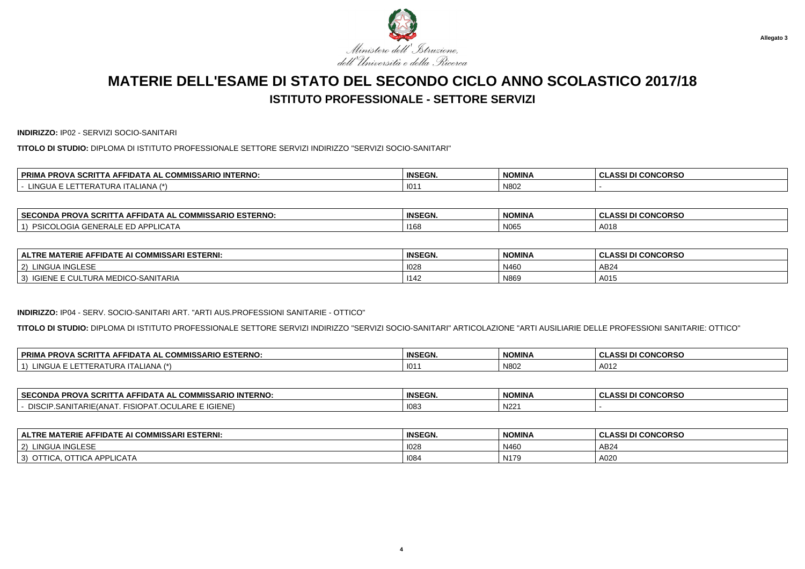

**INDIRIZZO:** IP02 - SERVIZI SOCIO-SANITARI

**TITOLO DI STUDIO:** DIPLOMA DI ISTITUTO PROFESSIONALE SETTORE SERVIZI INDIRIZZO "SERVIZI SOCIO-SANITARI"

| $\cdots$<br>PRIMA<br>$\cdot$ in Ferm<br><b>INTERNO</b><br><b>IA PROVA</b><br>. .<br>∴∆RIC.<br>SCRIT<br>▵⊢<br>- 11 D.A. '<br>. .<br>w<br>טור | <b>INSEGN.</b> | <b>NOMINA</b> | <b>CONCORSO</b><br>$\sim$<br>uladai |
|---------------------------------------------------------------------------------------------------------------------------------------------|----------------|---------------|-------------------------------------|
| <b>NGLIA</b><br>√∟IANA ∴<br>JRA.<br>.cr<br>.                                                                                                | 101            | N802          |                                     |

| <b>SECONDA</b><br><b>ESTERNO:</b><br>$\overline{A}$ SCRITT<br>.<br>$-0.0000$<br>- 10<br>PROVA<br>. IDA -<br>. A A -<br>. .<br>טור | <b>INSEGN.</b> | <b>NOMINA</b> | <b>I CONCORSO</b><br>DI |
|-----------------------------------------------------------------------------------------------------------------------------------|----------------|---------------|-------------------------|
| 10.17<br>$\ddot{\phantom{1}}$<br><b>AIEU</b><br><b>NER</b><br>. $A$ $P$<br>LICAIA<br>. .<br>.                                     | 1168           | N065          | A01 $\varepsilon$       |

| AI COMMISSARI ESTERNI:<br><b>ERIE A</b><br>FIDATE AI<br>ΛE<br><b>ALTRE</b><br>''' | <b>INSEGN.</b> | <b>NOMINA</b> | <b>CLASSI DI CONCORSO</b> |
|-----------------------------------------------------------------------------------|----------------|---------------|---------------------------|
| A INGLESE<br>2)<br>LINGU,                                                         | 1028           | N460          | AB24                      |
| MEDICO-SANITARIA<br><b>IGIENE</b><br>.TURA<br>5.5 <sub>2</sub><br>3)<br>wu        | 1142           | N869          | A015                      |

#### **INDIRIZZO:** IP04 - SERV. SOCIO-SANITARI ART. "ARTI AUS.PROFESSIONI SANITARIE - OTTICO"

**TITOLO DI STUDIO:** DIPLOMA DI ISTITUTO PROFESSIONALE SETTORE SERVIZI INDIRIZZO "SERVIZI SOCIO-SANITARI" ARTICOLAZIONE "ARTI AUSILIARIE DELLE PROFESSIONI SANITARIE: OTTICO"

| <b>PRIM</b><br>. SCRIT<br><b>.ISSARIO ESTERNO:</b><br>∆ אופ⊘.<br><b>PROVA</b><br>AFFIDAT.<br>^^'<br>\ AL<br>COMM<br>IA AFR | <b>INSEGN.</b> | <b>NOMINA</b> | <b>I CONCORSO</b><br>$\sim$<br>A CCI F<br>ULAJJI D |
|----------------------------------------------------------------------------------------------------------------------------|----------------|---------------|----------------------------------------------------|
| <b>LINGUA</b><br>$\lambda$ <sub>NIA</sub><br>$\lambda$<br>--<br><b>JURAIL</b> "<br>۹IV<br>$-DP$<br>∼                       | $\sim$<br>10   | N802          | A012                                               |

| <b>SECONDA</b><br>-22<br>I'A AFFIDATA AL COMMISSARIO INTERNO:<br>CRIT<br>-RU | <b>INSEGN.</b> | <b>NOMINA</b> | I DI CONCORSO<br>.<br><b>ULA.</b> |
|------------------------------------------------------------------------------|----------------|---------------|-----------------------------------|
| E IGIENE<br>OPAT OCUI<br>$\sim$<br>.SANITARIE(ANA)<br>− IN<br>™AR∟           | 108            | N1224<br>∵NZ∠ |                                   |

| <b>ALTRE MATERIE AFFIDATE AI COMMISSARI ESTERNI:</b> | <b>INSEGN.</b> | <b>NOMINA</b> | <b>I CONCORSO</b><br>DI.<br><b>ULA</b> |
|------------------------------------------------------|----------------|---------------|----------------------------------------|
| $\mathbf{R}$<br>I INGUA<br>っ<br>` !INGLES∟           | 1028           | N460          | AB24                                   |
| …CA APPLIC≜T.<br>3)                                  | 1084           | N179          | A020                                   |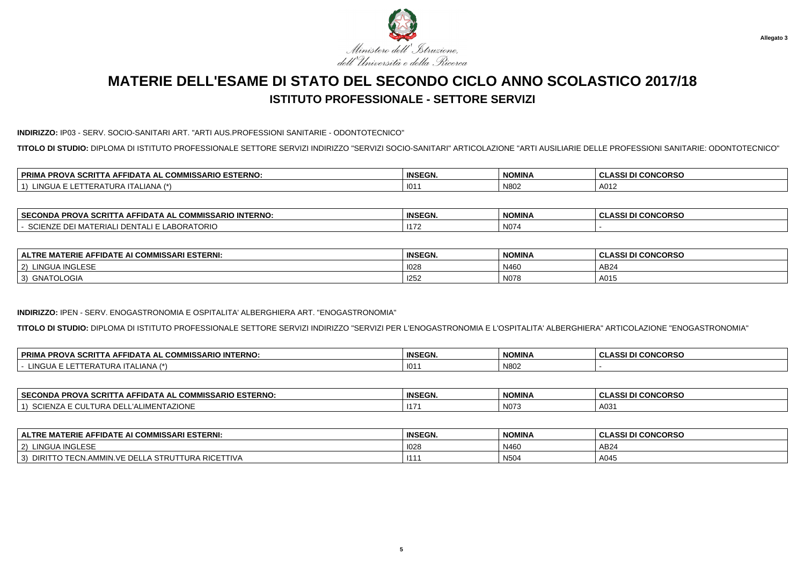

#### **INDIRIZZO:** IP03 - SERV. SOCIO-SANITARI ART. "ARTI AUS.PROFESSIONI SANITARIE - ODONTOTECNICO"

**TITOLO DI STUDIO:** DIPLOMA DI ISTITUTO PROFESSIONALE SETTORE SERVIZI INDIRIZZO "SERVIZI SOCIO-SANITARI" ARTICOLAZIONE "ARTI AUSILIARIE DELLE PROFESSIONI SANITARIE: ODONTOTECNICO"

| . er<br><b>MISSARIO ESTERNO:</b><br><b>DDIM</b><br>$\sim$ $\sim$ $\sim$ $\sim$<br><b>DDOV</b><br>-SCRIL<br>. АН'<br>∼IDА ∟<br>. ат<br>"RUV"<br>uum<br>. .<br>-- | <b>INSEGN.</b> | <b>NOMINA</b> | <b>CONCORSO</b><br>0.00 |
|-----------------------------------------------------------------------------------------------------------------------------------------------------------------|----------------|---------------|-------------------------|
| $\overline{1}$<br>. <i>.</i><br>-IANA<br>URP<br>- IIIA<br>$\sqrt{2}$                                                                                            | 101            | N80           | A012                    |

| <b>SECONDA</b><br><b>IISSARIO INTERNO:</b><br>PROVA SCRIT<br>$\sim$<br>$\ldots$ A AFFIDATA AL $\sim$<br>ושט א | <b>INSEGN.</b> | <b>NOMINA</b> | <b>CONCORSO</b><br>$\sim$<br>uladai |
|---------------------------------------------------------------------------------------------------------------|----------------|---------------|-------------------------------------|
| $L$ ABORAT<br>'I MATERIAL<br>TORIC<br>∍JENZ.<br>IN I ALIE<br>பட                                               | 1172           | N074          |                                     |

| E AFFIDATE AI COMMISSARI ESTERNI:<br><b>MATERIE</b><br><b>ALTRE</b> | <b>INSEGN.</b> | <b>NOMINA</b> | <b>I CONCORSO</b><br>0.001 <sub>D</sub><br>ULAJJI DI |
|---------------------------------------------------------------------|----------------|---------------|------------------------------------------------------|
| <b>A INGLESE</b><br>LINGU/<br>2)<br><b>INGLESE</b>                  | 1028           | N460          | AB24                                                 |
| '3)<br>GNATOLOGIA                                                   | 1252           | N078          | A015                                                 |

#### **INDIRIZZO:** IPEN - SERV. ENOGASTRONOMIA E OSPITALITA' ALBERGHIERA ART. "ENOGASTRONOMIA"

**TITOLO DI STUDIO:** DIPLOMA DI ISTITUTO PROFESSIONALE SETTORE SERVIZI INDIRIZZO "SERVIZI PER L'ENOGASTRONOMIA E L'OSPITALITA' ALBERGHIERA" ARTICOLAZIONE "ENOGASTRONOMIA"

| <b>PRIM</b><br><b>INTERNO</b><br>דום מ<br>…bSARIO IN⊤<br><b>PROVA</b><br>·IDA:<br>ו ב <i>ו</i><br>л.<br>uum<br>ouri<br>. .                                                                                                                                                                                                                                                                  | <b>INSEGN.</b> | <b>NOMINA</b> | <b>CONCORSO</b><br><u>. </u><br>$\sim$<br>. .<br>133 L<br>w<br>u |
|---------------------------------------------------------------------------------------------------------------------------------------------------------------------------------------------------------------------------------------------------------------------------------------------------------------------------------------------------------------------------------------------|----------------|---------------|------------------------------------------------------------------|
| 111<br>$^{\circ}$ $^{\circ}$ $^{\circ}$ $^{\circ}$ $^{\circ}$ $^{\circ}$ $^{\circ}$ $^{\circ}$ $^{\circ}$ $^{\circ}$ $^{\circ}$ $^{\circ}$ $^{\circ}$ $^{\circ}$ $^{\circ}$ $^{\circ}$ $^{\circ}$ $^{\circ}$ $^{\circ}$ $^{\circ}$ $^{\circ}$ $^{\circ}$ $^{\circ}$ $^{\circ}$ $^{\circ}$ $^{\circ}$ $^{\circ}$ $^{\circ}$ $^{\circ}$ $^{\circ}$ $^{\circ}$ $^{\circ$<br>.<br>៶∟៲៸៶៲៴៸<br>ᅴ | 101            | N802          |                                                                  |

| <b>SECONDA</b><br>AL COMMISSARIO ESTERNO:<br><b>SCRITTA AFFIDATA AL UL</b><br><b>A PROV</b>  | <b>INSEGN.</b> | NOMINA               | <b>CONCORSO</b><br>$\cdots$<br>133 U<br>u |
|----------------------------------------------------------------------------------------------|----------------|----------------------|-------------------------------------------|
| ALIMENTAZIONE<br>יימ<br>™''HN∠ <sub>D</sub><br>IIKA<br>$\mathbf{A}$<br>ושפ<br>. L UUL !<br>. | 117            | $\mathbf{N}$<br>NUZ. | A03                                       |

| <b>ALTRE MATERIE AFFIDATE AI COMMISSARI ESTERNI:</b>                                         | <b>INSEGN.</b> | <b>NOMINA</b> | <b>.ASSI DI CONCORSO</b><br><b>ULAL</b> |
|----------------------------------------------------------------------------------------------|----------------|---------------|-----------------------------------------|
| LINGUA INGLESE<br>2)                                                                         | 1028           | N460          | AB24                                    |
| VF DF<br><b>TURA RICETTIVA</b><br>DIRIT <sup>-</sup><br>⊃' TTO TECN.AMMIN.∨<br>A STRUT<br>J. | 111            | N504          | A045                                    |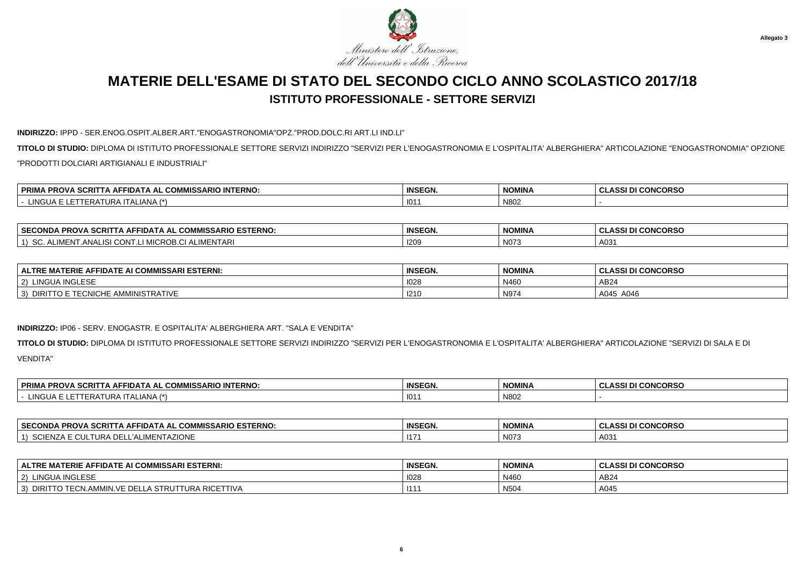

#### **INDIRIZZO:** IPPD - SER.ENOG.OSPIT.ALBER.ART."ENOGASTRONOMIA"OPZ."PROD.DOLC.RI ART.LI IND.LI"

**TITOLO DI STUDIO:** DIPLOMA DI ISTITUTO PROFESSIONALE SETTORE SERVIZI INDIRIZZO "SERVIZI PER L'ENOGASTRONOMIA E L'OSPITALITA' ALBERGHIERA" ARTICOLAZIONE "ENOGASTRONOMIA" OPZIONE"PRODOTTI DOLCIARI ARTIGIANALI E INDUSTRIALI"

| . DDIM.<br>$\sim$<br>111T<br><b>TERNO</b><br><b>PROVA</b><br>. .<br>10<br>-SCRIL<br>. д.⊫<br>11 J A<br><b>KIMA</b><br>$\sim$ | <b>INSEGN.</b> | <b>NOMINA</b> | <b>CONCORSO</b><br>$\sim$<br>. JLAJO . |
|------------------------------------------------------------------------------------------------------------------------------|----------------|---------------|----------------------------------------|
| $\cdots$<br>NG ILA<br>LIANA 1<br>JRA 1<br>.cr<br>∸                                                                           | 101            | N802          |                                        |

| <b>ESTERNO</b><br><b>SECC</b><br>$-0.00$<br><u>^^*</u><br>$ \sim$<br><b>ECONDA</b><br><b>PROV</b><br><b>ISSARIO</b><br>FIDATA<br>…RI⊤<br>Δ⊨<br>. АІ<br>. | <b>INSEGN</b> | <b>NOMINA</b> | <b>I CONCORSC</b><br>$\sim$<br><b>_ASSI</b><br>ີ |
|----------------------------------------------------------------------------------------------------------------------------------------------------------|---------------|---------------|--------------------------------------------------|
| $\sqrt{2}$<br><b>'MENTARI</b><br>AI IN<br>ົດພ<br>$A N^{\mu}$<br>−IN.<br>. اس                                                                             | 120'          | N073          | A03'                                             |

| IMISSARI ESTERNI:<br>$\mathbf{A}$ . $\mathbf{A}$<br><b>ALTRE</b><br>.<br><b>FIDATE AI CON</b><br><b>MAILRIL</b><br>ΑF | <b>INSEGN.</b> | <b>NOMINA</b> | <b>I CONCORSO</b><br><b>CLASSI DI</b> |
|-----------------------------------------------------------------------------------------------------------------------|----------------|---------------|---------------------------------------|
| INGLESE<br>$\sqrt{2}$<br>' INGUA.<br>™GLES∟                                                                           | 1028           | N460          | AB24                                  |
| `'⊏ AMMINISTRATIVE<br>$\sim$ MI $\sim$ LIE<br><b>DIRIT</b><br>EUNIUME /<br>۰J                                         | 121C           | N97.          | A045<br>A046                          |

#### **INDIRIZZO:** IP06 - SERV. ENOGASTR. E OSPITALITA' ALBERGHIERA ART. "SALA E VENDITA"

**TITOLO DI STUDIO:** DIPLOMA DI ISTITUTO PROFESSIONALE SETTORE SERVIZI INDIRIZZO "SERVIZI PER L'ENOGASTRONOMIA E L'OSPITALITA' ALBERGHIERA" ARTICOLAZIONE "SERVIZI DI SALA E DIVENDITA"

| . SCRI<br><b>IO INTERNO</b><br><b>MISSARIL</b><br><u>^^\</u><br>OD.<br>™FIDA …<br>\ AL<br>י שר<br>uum | <b>INSEGN.</b> | <b>NOMINA</b> | <b>CONCORSO</b><br>DI<br>. .<br>◡∟∼ |
|-------------------------------------------------------------------------------------------------------|----------------|---------------|-------------------------------------|
| $. In \sim$<br>IANA.<br>ו ור ווי<br>$\cdot$ , $\sqrt{2}$<br>__                                        | 101            | N80           |                                     |

| <b>ARIO ESTERNO.</b><br><b>SECONDA</b><br>$\sim$<br>CRIT.<br>. гIDA™<br><b>PROV</b><br>- Δ⊩′<br>.<br>- יייש<br><b>WINDOW ARTIVE</b> | <b>INSEGN.</b>       | <b>NOMINA</b> | <b>I CONCORSO</b><br>.<br>DI |
|-------------------------------------------------------------------------------------------------------------------------------------|----------------------|---------------|------------------------------|
| <b>\ZIONE</b><br>ົ່<br><b>TURA</b><br>.⊓R⊺<br>ווטט<br>◡                                                                             | $\rightarrow$<br>-11 | N073          | A031                         |

| ALTRE MATERIE AFFIDATE AI COMMISSARI ESTERNI:                           | <b>INSEGN.</b>  | <b>NOMINA</b>    | <b>I CONCORSO</b><br>۱cc<br><b>DI</b> |
|-------------------------------------------------------------------------|-----------------|------------------|---------------------------------------|
| $\mathbf{R}$<br><b>INGUA</b><br>$\sim$<br>INGLESE                       | $\sim$<br>1028  | N460             | AB24                                  |
| $\sim$ $\sim$<br>J VE<br>≙ Rlt.<br>TRU<br>1 I V A<br>DIRI<br>. .<br>. . | 11 <sup>1</sup> | N <sub>504</sub> | A045                                  |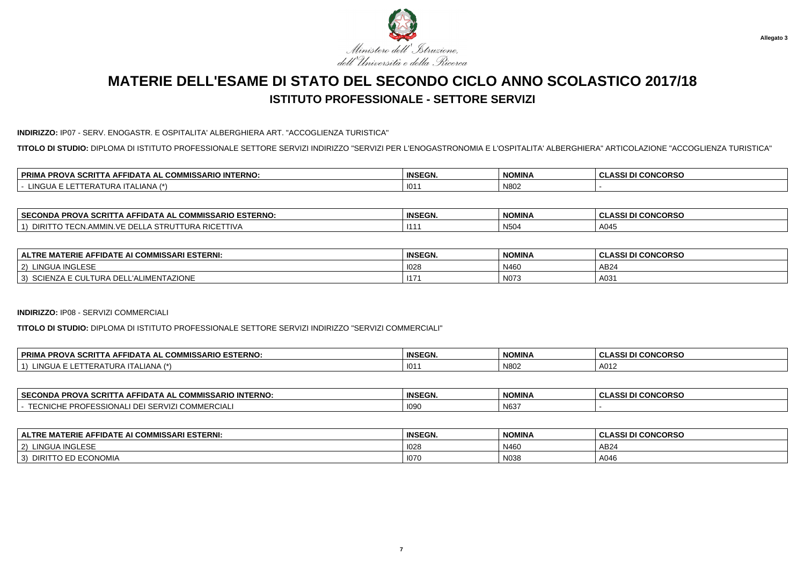

#### **INDIRIZZO:** IP07 - SERV. ENOGASTR. E OSPITALITA' ALBERGHIERA ART. "ACCOGLIENZA TURISTICA"

**TITOLO DI STUDIO:** DIPLOMA DI ISTITUTO PROFESSIONALE SETTORE SERVIZI INDIRIZZO "SERVIZI PER L'ENOGASTRONOMIA E L'OSPITALITA' ALBERGHIERA" ARTICOLAZIONE "ACCOGLIENZA TURISTICA"

| <b>SCRIT</b><br>. DDIM<br>/IMISSARIO INTERNO:<br>∼∩ммıс<br>.<br>IA PROVA<br>. АН<br>-IDA I /<br>.<br>uur<br><b>KINA</b><br>$\blacksquare$<br>-- | <b>INSEGN.</b> | <b>NOMINA</b> | <b>I CONCORSO</b><br><b>CLASSI</b> |
|-------------------------------------------------------------------------------------------------------------------------------------------------|----------------|---------------|------------------------------------|
| ' INGHA<br><b>LIANA</b><br>____                                                                                                                 | 01             | N80           |                                    |

| <b>SECC</b><br><b>ESTERNO:</b><br>– JUMMISSARIO FSTT⊺<br><b>PROV</b><br>=CONDA<br>-IDA I A AL<br>-SURI 1   | <b>INSEGN.</b> | <b>NOMINA</b> | <b>CONCORSO</b><br>י המ |
|------------------------------------------------------------------------------------------------------------|----------------|---------------|-------------------------|
| <b>DIO</b><br>יר<br>URA '<br>I IV/<br>w<br>LA SIRUI<br><b>RIUI</b><br>וש<br>∟∪l\l.<br>11 M<br>וועור<br>. . | <b>IA</b>      | <b>N504</b>   | A045                    |

| <b>NI COMMISSARI ESTERNI:</b><br>FIDATE AI<br>ERIE AI<br><b>ALTRE</b><br>^⊢<br>. .<br>шm         | <b>INSEGN.</b> | <b>NOMINA</b> | <b>I CONCORSO</b><br>$\sim$<br><b>ASSI</b> |
|--------------------------------------------------------------------------------------------------|----------------|---------------|--------------------------------------------|
| A INGLESE<br>2)<br>LINGU <sub>r</sub>                                                            | 1028           | N460          | AB24                                       |
| <b>TAZIONE</b><br>n r<br>$\sim$<br>TURA<br>$\sim$<br>3)<br>∽⊾⊾⊤<br>-<br>$\overline{\phantom{a}}$ | 117            | N073          | A03 $\prime$                               |

#### **INDIRIZZO:** IP08 - SERVIZI COMMERCIALI

**TITOLO DI STUDIO:** DIPLOMA DI ISTITUTO PROFESSIONALE SETTORE SERVIZI INDIRIZZO "SERVIZI COMMERCIALI"

| . PROVA SCRITT<br>. COMMISSARIO ESTERNO:<br><b>PRIM</b><br><b>A AFFIDAT</b><br>$\mathbf{A}$ | <b>INSEGN.</b> | <b>NOMINA</b> | I DI CONCORSO<br>יים ג<br>◡∟∼ |
|---------------------------------------------------------------------------------------------|----------------|---------------|-------------------------------|
| _IANA (*)<br>$\mathbf{1}$<br>$H$ ir $\Delta$<br>'NGUA<br>1 E R A                            | $101^\circ$    | N802          | A012                          |

| <b>SECONDA</b><br><b>PROVA SCRIT</b><br><b>COMMISSARIO INTERNO.</b><br>-IDATA AL COM<br>. IA AF                                        | <b>INSEGN.</b> | <b>NOMINA</b> | I DI CONCORSO<br>ula. |
|----------------------------------------------------------------------------------------------------------------------------------------|----------------|---------------|-----------------------|
| <b>001011</b><br>$T T \cap \Lambda$<br><b>PROF</b><br><b>COMMERCIALI</b><br>IUNAL<br>$\sim$ $\sqrt{17}$<br>EUNIUHE<br>I SERVIZI<br>LUU | 1090           | N637          |                       |

| E AI COMMISSARI ESTERNI:<br><b>AFFIDATE</b><br>. MAT<br><b>ATERIE</b><br><b>ALTRE</b> | <b>INSEGN.</b> | <b>NOMINA</b> | I DI CONCORSO<br>וח וספו<br>$\overline{\phantom{a}}$<br>uladai |
|---------------------------------------------------------------------------------------|----------------|---------------|----------------------------------------------------------------|
| <b>LINGUA INGLESE</b><br>$\sim$<br>∼                                                  | 1028           | N460          | AB <sub>24</sub>                                               |
| <b>ECONOMIA</b><br><b>LUUNUMIA</b><br>└<br>◡<br>$\cdot$                               | 1070           | N038          | A04 $\epsilon$                                                 |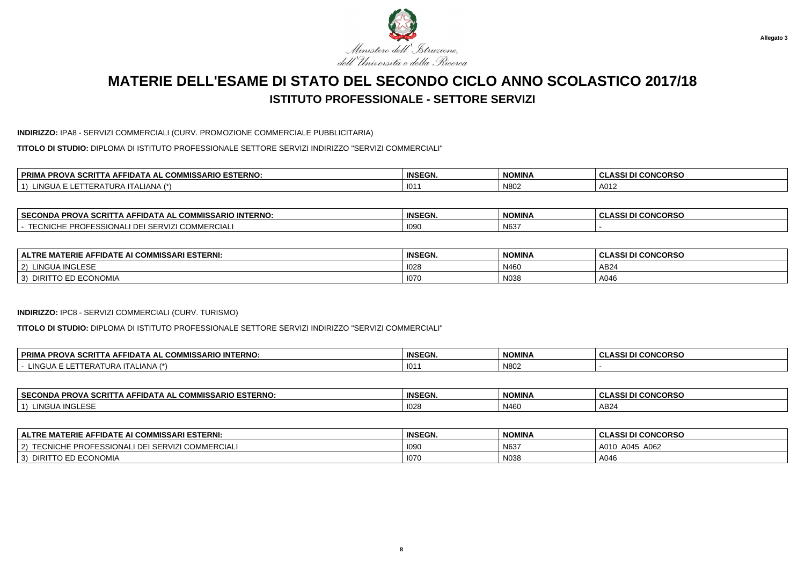

#### **INDIRIZZO:** IPA8 - SERVIZI COMMERCIALI (CURV. PROMOZIONE COMMERCIALE PUBBLICITARIA)

**TITOLO DI STUDIO:** DIPLOMA DI ISTITUTO PROFESSIONALE SETTORE SERVIZI INDIRIZZO "SERVIZI COMMERCIALI"

| <b>ESTERNO</b><br>-----<br><b>OMMICL</b><br><b>MISSARIO</b><br>סם<br>. .<br>∼iDA ⊨<br><b>SURP</b><br>AL<br>. AF .<br>uum<br>י שרי<br>$\overline{\phantom{a}}$ | <b>INSEGN.</b> | <b>NOMINA</b> | <b>CONCORSO</b><br>$\sim$ |
|---------------------------------------------------------------------------------------------------------------------------------------------------------------|----------------|---------------|---------------------------|
| $\overline{1}$<br>111<br>URA<br>-IANA<br>∙RA.<br>$. \iota \mathsf{I} \mathsf{A}$                                                                              | 101            | N802          | A012                      |

| <b>SECONDA PROVA SCRITTA AFF</b><br>FFIDATA AL COMMISSARIO INTERNO:                                                | <b>INSEGN.</b> | <b>NOMINA</b> | I DI CONCORSO<br>$\mathbf{A}$<br><b>ULAJJ</b> |
|--------------------------------------------------------------------------------------------------------------------|----------------|---------------|-----------------------------------------------|
| TTOMION<br><b>COMMERCIALI</b><br>DDAE <sup>®</sup><br>$\sim$ $\sim$<br>$\cdots$<br>. RUF*<br>рээкл<br><b>기지나니다</b> | 1090           | N637          |                                               |

| <b>IISSARI ESTERNI:</b><br><b>FIDATE AI L</b><br>AI COMN<br><b>FERIF</b><br><b>ALTRL</b><br>AFF<br>wu | <b>INSEGN.</b> | <b>NOMINA</b> | <b>CONCORSO</b><br>.<br>. W.<br>. <i>. .</i> |
|-------------------------------------------------------------------------------------------------------|----------------|---------------|----------------------------------------------|
| A INGLESF<br>$\blacksquare$ $\blacksquare$<br>۱Δ                                                      | 1028           | N460          | AB24                                         |
| <b>ECONOMIA</b><br><b>DIRIT</b><br>1 O                                                                | 1070           | N038          | A046                                         |

#### **INDIRIZZO:** IPC8 - SERVIZI COMMERCIALI (CURV. TURISMO)

**TITOLO DI STUDIO:** DIPLOMA DI ISTITUTO PROFESSIONALE SETTORE SERVIZI INDIRIZZO "SERVIZI COMMERCIALI"

| . COMMISSARIO INTERNO:<br>PRIMA<br>\ PROVA SCRITTA AFI<br>FIDATA AL | <b>INSEGN.</b> | <b>NOMINA</b> | <b>I DI CONCORSO</b><br>ACCI <sub>D</sub><br>-<br>- YLAJJ. |
|---------------------------------------------------------------------|----------------|---------------|------------------------------------------------------------|
| INGI<br>$\Lambda$ LIANA $'$<br>IERE<br>unvou<br>.                   | 101            | N802          |                                                            |

| <b>SECONDA</b><br><b>COMMISSARIO ESTERNO:</b><br><b>PROVA SCRI.</b><br>FIDATA AL COMI<br>. IA AF' | <b>INSEGN.</b> | NOMINA | <b>CONCORSO</b><br>$\cdots$<br>u<br>933 D. |
|---------------------------------------------------------------------------------------------------|----------------|--------|--------------------------------------------|
| <b>INGLESE</b><br>LINGUA.<br>$\rightarrow$                                                        | 1028           | N460   | AB24                                       |

| <b>ALTRE MATERIE AFFIDATE AI COMMISSARI ESTERNI:</b>          | <b>INSEGN.</b> | <b>NOMINA</b> | <b>CLASSI DI CONCORSO</b> |
|---------------------------------------------------------------|----------------|---------------|---------------------------|
| ) TECNICHE PROFESSIONALI DEI SERVIZI (<br>I COMMERCIALI<br>2) | 1090           | N637          | A062<br>A045<br>A010      |
| TO ED ECONOMIA<br>DIRIT <sup>T</sup> וכ<br>3)                 | <b>1070</b>    | N038          | A046                      |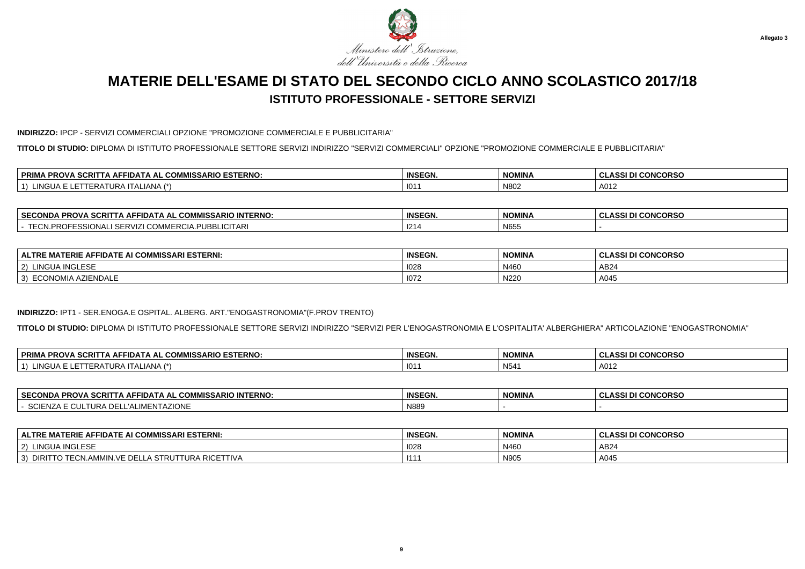

#### **INDIRIZZO:** IPCP - SERVIZI COMMERCIALI OPZIONE "PROMOZIONE COMMERCIALE E PUBBLICITARIA"

**TITOLO DI STUDIO:** DIPLOMA DI ISTITUTO PROFESSIONALE SETTORE SERVIZI INDIRIZZO "SERVIZI COMMERCIALI" OPZIONE "PROMOZIONE COMMERCIALE E PUBBLICITARIA"

| <b>IIISSARIO ESTERNO.</b><br>$\sim$<br>-----<br>∣ PRIMA<br>דוטי<br><b>AFFIDA</b><br>۱ AL<br>. uOm<br>. JURII<br>אשי | <b>INSEGN.</b> | <b>NOMINA</b> | <b>I CONCORSO</b><br><b>CLASSID.</b> |
|---------------------------------------------------------------------------------------------------------------------|----------------|---------------|--------------------------------------|
| 11121<br><b>LALIANA</b><br>NGUA<br>$\mathbf{A}$<br>ERP<br>IJKP                                                      | 101            | N80           | A012                                 |

| <b>SECONDA</b><br><b>SCRI</b><br><b>INTERNO:</b><br>10<br><b>PROVA</b><br>^-<br>1) A I A A I<br><b>"IWISSARIO"</b> | <b>INSEGN.</b> | <b>NOMINA</b>         | <b>CONCORSO</b><br>.<br>- A 331 L<br>UL. |
|--------------------------------------------------------------------------------------------------------------------|----------------|-----------------------|------------------------------------------|
| . .<br>ואעונ<br>∴nkt√<br>LIULLARI<br>.<br>ununu                                                                    | 1214           | <b>NIGEL</b><br>13000 |                                          |

| <b>IMISSARI ESTERNI:</b><br><b>FIDATE AI COMMISS/</b><br><b>TERIE AL</b><br>$\blacksquare$<br><b>ALTRE</b><br>MAI. | <b>INSEGN.</b> | <b>NOMINA</b> | <b>I CONCORSO</b><br>$\sim$<br>. ASSI P<br>ULAJJI D |
|--------------------------------------------------------------------------------------------------------------------|----------------|---------------|-----------------------------------------------------|
| <b>AINGLESF</b><br>LINGU/<br>2)                                                                                    | 1028           | N460          | AB24                                                |
| <b>ZIENDALE</b><br>3)<br>ECONOMIA                                                                                  | $\sim$<br>107. | N220          | A045                                                |

#### **INDIRIZZO:** IPT1 - SER.ENOGA.E OSPITAL. ALBERG. ART."ENOGASTRONOMIA"(F.PROV TRENTO)

**TITOLO DI STUDIO:** DIPLOMA DI ISTITUTO PROFESSIONALE SETTORE SERVIZI INDIRIZZO "SERVIZI PER L'ENOGASTRONOMIA E L'OSPITALITA' ALBERGHIERA" ARTICOLAZIONE "ENOGASTRONOMIA"

| <b>PRIM</b><br>. SCRIT<br><b>IISSARIO ESTERNO:</b><br><u>, אופכי</u><br><b>PROVA</b><br>AFFIDAT<br>^^'<br>\ AL<br>COMM<br>IA AFR | <b>INSEGN.</b> | <b>NOMINA</b>   | I CONCORSO<br>$\sim$<br>A CCI F<br>- GLASSI D |
|----------------------------------------------------------------------------------------------------------------------------------|----------------|-----------------|-----------------------------------------------|
| LINGUA<br>$\lambda$ <sub>NIA</sub><br>$\overline{1}$<br>--<br><b>JURAIL</b> <sup>"</sup><br>۹IVA<br>$-DP$<br>∼                   | $\sim$<br>10   | N <sub>54</sub> | A012                                          |

| <b>SECONDA</b><br><b>. PROVA SCRIT</b><br><b>MMISSARIO INTERNO.</b><br>·IDATA AL<br>. IA AF'<br>. ייט | <b>INSEGN.</b> | <b>NOMINA</b> | I DI CONCORSO<br>ulac |
|-------------------------------------------------------------------------------------------------------|----------------|---------------|-----------------------|
| :NTAZIONE<br>$\sim$<br> M <br>.<br><br>- I URA DE<br>، ا ب                                            | N889           |               |                       |

| . MATERIE AFFIDATE AI COMMISSARI ESTERNI:<br><b>ALTRE</b>                              | <b>INSEGN.</b> | <b>NOMINA</b> | <b>I CONCORSO</b><br>DI<br>.<br><b>ULA</b> |
|----------------------------------------------------------------------------------------|----------------|---------------|--------------------------------------------|
| <b>UA INGLESE</b><br>(2)<br>' INGL                                                     | 1028           | N460          | AB24                                       |
| <b><i>FURA RICETTIVA</i></b><br>⊺DE.<br>DIRIT<br>TO TECN.AMMIN.VE.<br>LLA STRUT<br>ادب | 111            | <b>N905</b>   | A045                                       |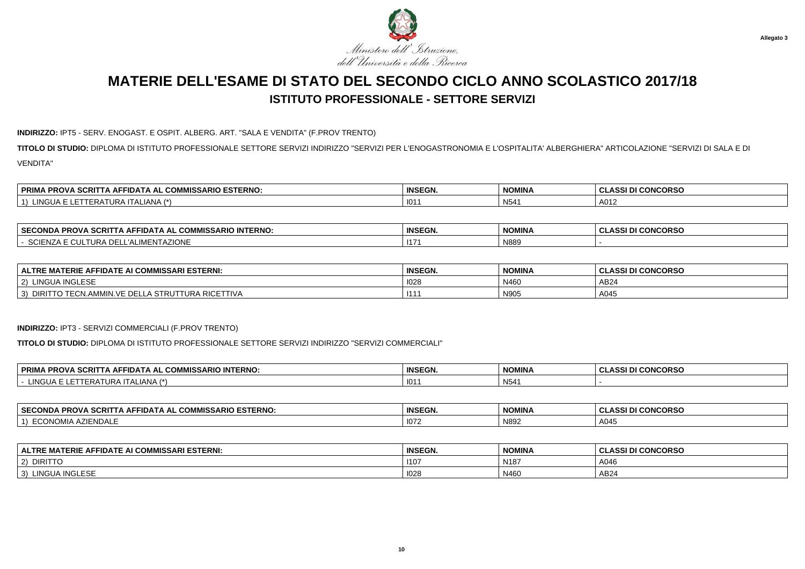

### **INDIRIZZO:** IPT5 - SERV. ENOGAST. E OSPIT. ALBERG. ART. "SALA E VENDITA" (F.PROV TRENTO)

**TITOLO DI STUDIO:** DIPLOMA DI ISTITUTO PROFESSIONALE SETTORE SERVIZI INDIRIZZO "SERVIZI PER L'ENOGASTRONOMIA E L'OSPITALITA' ALBERGHIERA" ARTICOLAZIONE "SERVIZI DI SALA E DIVENDITA"

| ADIO COTT<br><b>ESTERNO</b><br><b>PRIMA</b><br>COMMIC<br><b>SCRITTA AFT</b><br><b>PROVA</b><br>'FIDATA AL<br>IIVII ƏƏARIU<br>uum | <b>INSEGN.</b> | <b>NOMINA</b> | <b>I CONCORSO</b><br>$\ddot{\phantom{0}}$ |
|----------------------------------------------------------------------------------------------------------------------------------|----------------|---------------|-------------------------------------------|
| .ING!<br>I ALIANA<br>___                                                                                                         | 101            | N54'          | A012                                      |

| ARIO INTERNO:<br><b>SECONDA</b><br>. SCRIT<br>FIDATA AI<br>`^ PRO\.<br>. анг<br>. uuw<br>™WII33ARIU<br>-- | <b>INSEGN.</b> | <b>NOMINA</b> | <b>I CONCORSO</b><br>DI<br>$\ddot{\phantom{0}}$ |
|-----------------------------------------------------------------------------------------------------------|----------------|---------------|-------------------------------------------------|
| <b>ZIONE</b><br>_∟ALIMENTAZI∩'`<br>112 A 111-<br>اللث<br>-INZA                                            | $\sim$<br>-11  | N889          |                                                 |

| : MATERIE AFFIDATE AI COMMISSARI ESTERNI:<br><b>ALTRI</b>                                                                                   | <b>INSEGN.</b> | <b>NOMINA</b> | <b>I CONCORSO</b><br><b>CLASSI D'</b> |
|---------------------------------------------------------------------------------------------------------------------------------------------|----------------|---------------|---------------------------------------|
| <b>INGLESE</b><br><b>LINGUA</b>                                                                                                             | 1028           | N460          | AB2                                   |
| . $\overline{\mathsf{u}}$ DRA RICETT"<br><b>DIRI</b><br>∟UN.AMMIN.VF PT<br>$\sim$ Tr<br>. STRUTT<br><b>IIVA</b><br>$\overline{\phantom{a}}$ | 14.4           | N905          | $\Lambda$ $\Omega$<br>AU40            |

#### **INDIRIZZO:** IPT3 - SERVIZI COMMERCIALI (F.PROV TRENTO)

**TITOLO DI STUDIO:** DIPLOMA DI ISTITUTO PROFESSIONALE SETTORE SERVIZI INDIRIZZO "SERVIZI COMMERCIALI"

| 'A SCRI'<br><b>PRIM</b><br><b>COMMISSARIO INTERNO:</b><br><b>PROV</b><br>TTA AFFIDATA<br>\ AL<br>. NIA | <b>INSEGN.</b> | <b>NOMINA</b>         | <b>I DI CONCORSO</b><br>$\sim$<br>ULAUL. |
|--------------------------------------------------------------------------------------------------------|----------------|-----------------------|------------------------------------------|
| <b>INGUA</b><br>$N1A$ $\rightarrow$<br>. ITALIANA ′<br>URP                                             | 101            | <b>NICA</b><br>- N541 |                                          |

| ' SECOND <i>⊦</i><br><b>ECTEDNO</b><br><b>COMMISSARIO</b><br><b>PROVA</b><br>SCRI<br>II) A I A AI<br><b>ESIERNO</b><br>Nija | <b>INSEGN.</b> | <b>NOMINA</b><br>ייוויוטיו | <b>CONCORSC</b><br><b>A G GI</b><br>. |
|-----------------------------------------------------------------------------------------------------------------------------|----------------|----------------------------|---------------------------------------|
| ENDALE<br>OMIA<br>ECON                                                                                                      | 107            | N89                        | A045                                  |

| : AFFIDATE AI COMMISSARI ESTERNI:<br><b>MATERIE</b><br><b>ALTRE</b> | <b>INSEGN.</b> | NOMINA           | <b>I CONCORSO</b><br>u<br>133 L |
|---------------------------------------------------------------------|----------------|------------------|---------------------------------|
| <b>DIRITTO</b><br>$\sim$<br>Z)                                      | 1107           | N <sub>187</sub> | A046                            |
| <b>INGLESE</b><br>LINGUA<br>$\sim$<br>$\cdot$                       | 1028           | N460             | AB24                            |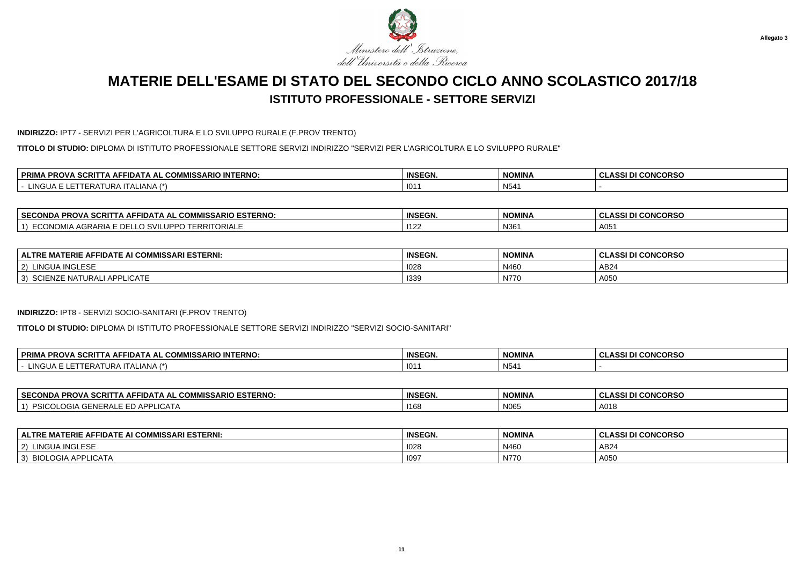

### **INDIRIZZO:** IPT7 - SERVIZI PER L'AGRICOLTURA E LO SVILUPPO RURALE (F.PROV TRENTO)

**TITOLO DI STUDIO:** DIPLOMA DI ISTITUTO PROFESSIONALE SETTORE SERVIZI INDIRIZZO "SERVIZI PER L'AGRICOLTURA E LO SVILUPPO RURALE"

| $\sim$<br><b>DDIM</b><br>---<br><b>INTERNO</b><br><b>PROVA</b><br>- הורו<br><b>SCRIL</b><br>. А.Н.<br>- 11 J.A.<br>IA AL<br>. .<br>. uu<br>יטור<br> | <b>INSEGN.</b> | <b>NOMINA</b> | <b>CONCORSO</b><br>$\mathbf{A}$<br>--33 |
|-----------------------------------------------------------------------------------------------------------------------------------------------------|----------------|---------------|-----------------------------------------|
| <b>INGLIA</b><br>ALIANA<br>JRA'<br>FRA<br>---                                                                                                       | 101            | N54           |                                         |

| <b>SECC</b><br><b>ESTERNO.</b><br>$MCC$ .<br><b>MISSARIO</b> ·<br><b>PROVA SCRI</b><br>ECONDA<br>·IDA I A AL<br>. uuw | <b>INSEGN.</b> | NOMINA | <b>CONCORSO</b><br>.<br>u<br>u<br>-- - - - - - |
|-----------------------------------------------------------------------------------------------------------------------|----------------|--------|------------------------------------------------|
| RRITORIALE<br><b>JUMIA</b><br>AGRARIA<br>$\overline{\phantom{0}}$                                                     | 112            | N361   | $\Lambda$ $\cap$ $\epsilon$<br>HU <sub>J</sub> |

| <b>' COMMISSARI ESTERNI:</b><br>$\sim$<br>ERIE<br><b>IDATL</b><br><b>ALTRE</b><br>^⊢<br>. .<br> | <b>INSEGN.</b> | <b>NOMINA</b> | <b>CONCORSO</b><br>.<br>u |
|-------------------------------------------------------------------------------------------------|----------------|---------------|---------------------------|
| <b>INGLESF</b><br>TINGU<br>2)<br>$\epsilon$                                                     | 1028           | N460          | AB <sub>2</sub>           |
| $\sim$ $\sim$<br>10.75<br>ADD<br>TURALI<br>3)<br><b>SUIENZE NAT</b><br>LIVAIE<br>$\mathbf{H}$   | 1339           | N770          | A050                      |

#### **INDIRIZZO:** IPT8 - SERVIZI SOCIO-SANITARI (F.PROV TRENTO)

**TITOLO DI STUDIO:** DIPLOMA DI ISTITUTO PROFESSIONALE SETTORE SERVIZI INDIRIZZO "SERVIZI SOCIO-SANITARI"

| ∖ PROVA SCRITTA AFFIDAT.<br><b>IISSARIO INTERNO.</b><br><b>PRIM</b><br><b>COMN</b><br>. A AL | <b>INSEGN.</b> | <b>NOMINA</b> | <b>.ASSI DI CONCORSO</b><br>$\sim$<br><b>ULAJJI</b> |
|----------------------------------------------------------------------------------------------|----------------|---------------|-----------------------------------------------------|
| LINGI<br>.<br>IANA<br>$\overline{1}$<br>ILERAIURA<br>I I ALI.                                | 101            | N54'          |                                                     |

| <b>SECONDA</b><br>` PROVA SCRI<br><b>COMMISSARIO ESTERNO:</b><br>-IDATA AL COM<br>. IA AF | <b>INSEGN.</b> | <b>NOMINA</b> | I DI CONCORSO |
|-------------------------------------------------------------------------------------------|----------------|---------------|---------------|
| $\sim$ $\sim$<br>-UGIA<br><b>LIUAIP</b><br><b>DEN</b>                                     | 1168           | N065          | A018          |

| E AFFIDATE AI COMMISSARI ESTERNI:<br><b>ALTRE MATERIE</b> | <b>INSEGN</b> | <b>NOMINA</b> | <b>I CONCORSO</b><br><b>ASSI DI</b> |
|-----------------------------------------------------------|---------------|---------------|-------------------------------------|
| <b>LINGUA INGLESE</b><br>$\sim$<br>∼                      | 1028          | N460          | AB24                                |
| 10.1<br>_OGIA AF<br><b>ADD</b><br>$\sim$<br>LIUAIA        | 109           | N770          | A050                                |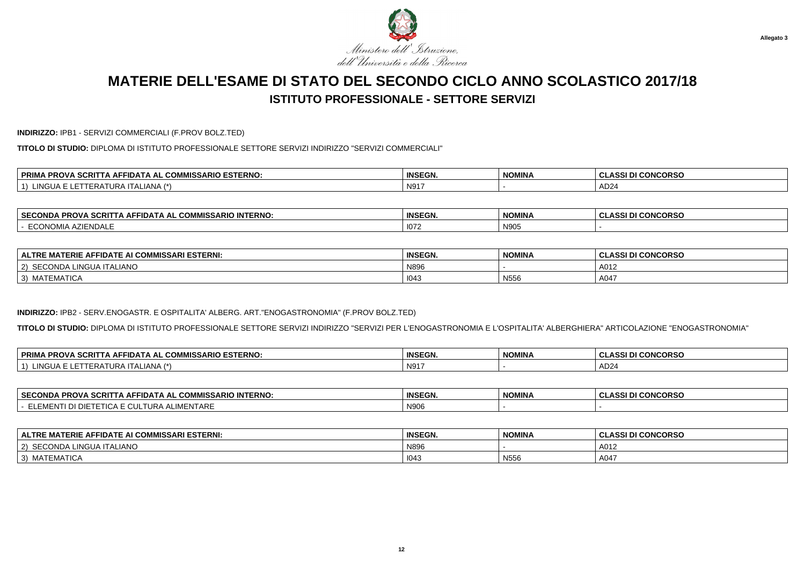

**INDIRIZZO:** IPB1 - SERVIZI COMMERCIALI (F.PROV BOLZ.TED)

**TITOLO DI STUDIO:** DIPLOMA DI ISTITUTO PROFESSIONALE SETTORE SERVIZI INDIRIZZO "SERVIZI COMMERCIALI"

| $ -$<br>. COMMISSARIO ESTERNO:<br><b>PRIM</b><br>odo"<br><b>TFIDA.</b><br>-00<br>AL<br>эu<br>'NU. | <b>INSEGN</b>      | <b>NOMINA</b> | <b>I CONCORSO</b><br>$\sim$<br><b>ULAJJ</b> |
|---------------------------------------------------------------------------------------------------|--------------------|---------------|---------------------------------------------|
| 11121<br>NGUA<br>I LALIANA<br>URA<br>I IN F                                                       | $N91$ <sup>-</sup> |               | AD <sub>24</sub>                            |

| $\cdots$<br>IISSARIO INTERNO:<br><u>^^"</u><br><b>PROVA</b><br>CRIT.<br>. AFFIDA:<br>CONDA<br>--<br>$-1$ $\Delta$ $\Delta$ $\Gamma$<br>. CUMM<br>- | <b>INSEGN.</b> | <b>NOMINA</b>                         | <b>DNCORSO</b><br>$\sim$<br>.<br>. .<br>◡<br>333 L<br>w |
|----------------------------------------------------------------------------------------------------------------------------------------------------|----------------|---------------------------------------|---------------------------------------------------------|
| . AZIFND^′<br>$\sim$ 10.10 $\sim$<br>±NDAL<br>ועוג צעו<br>. .                                                                                      | 1072           | <b>NIOOL</b><br>. 141<br>$\mathbf{1}$ |                                                         |

| : AFFIDATE AI COMMISSARI ESTERNI:<br><b>MATERIE</b><br><b>ALTRE</b> | <b>INSEGN.</b> | <b>NOMINA</b> | <b>II CONCORSO</b><br>0.001 <sub>D</sub><br>-GLASSI DI |
|---------------------------------------------------------------------|----------------|---------------|--------------------------------------------------------|
| CONDA LINGUA ITALIANO<br>SECOND<br>$'$ 2)                           | N89            |               | A012                                                   |
| MATEMATICA<br>3)                                                    | 1043           | N556          | A047                                                   |

### **INDIRIZZO:** IPB2 - SERV.ENOGASTR. E OSPITALITA' ALBERG. ART."ENOGASTRONOMIA" (F.PROV BOLZ.TED)

**TITOLO DI STUDIO:** DIPLOMA DI ISTITUTO PROFESSIONALE SETTORE SERVIZI INDIRIZZO "SERVIZI PER L'ENOGASTRONOMIA E L'OSPITALITA' ALBERGHIERA" ARTICOLAZIONE "ENOGASTRONOMIA"

| <b>、SCRIT</b><br><b>PRIM</b><br><b>COMMISSARIO ESTERNO.</b><br><b>PROVA</b><br><b>SEEDA</b><br>A AL<br>$\cdots$ . A $A$ $A$ $A$ | <b>INSEGN.</b> | <b>NOMINA</b> | I DI CONCORSO<br>$\sim$<br>.<br><b>ULAJJI</b> |
|---------------------------------------------------------------------------------------------------------------------------------|----------------|---------------|-----------------------------------------------|
| . INGUA<br>$\overline{1}$<br>IANA<br>⊢⊌∆<br>IURA<br>- 231<br>– NE<br>$\cdots$                                                   | N91            |               | $\sim$<br>$A^{\prime\prime}$                  |

| <b>SECONDA</b><br><b>SCRITTA AFFIDATA AL UL</b><br><b>PROVA Su.</b><br><b>AL COMMISSARIO</b><br><b>INTERNO.</b> | <b>INSEGN.</b> | NOMINA | <b>CONCORSO</b><br>.<br>333 U<br>u |
|-----------------------------------------------------------------------------------------------------------------|----------------|--------|------------------------------------|
| <b>IMENTARE</b><br><b>I DI DIETETICA E CULTURA /</b><br><b>IBAC</b><br>، ⊓−                                     | N90            |        |                                    |

| E AFFIDATE AI COMMISSARI ESTERNI:<br><b>ALTRE MATERIE</b> | <b>INSEGN</b> | <b>NOMINA</b> | <b>I CONCORSO</b><br><b>ASSI DI</b> |
|-----------------------------------------------------------|---------------|---------------|-------------------------------------|
| SECONDA LINGUA ITALIANO<br>$\sim$                         | N896          |               | A012                                |
| <b>MATEMATICA</b><br>$\sim$<br>ັບເ                        | 1043          | N556          | A047                                |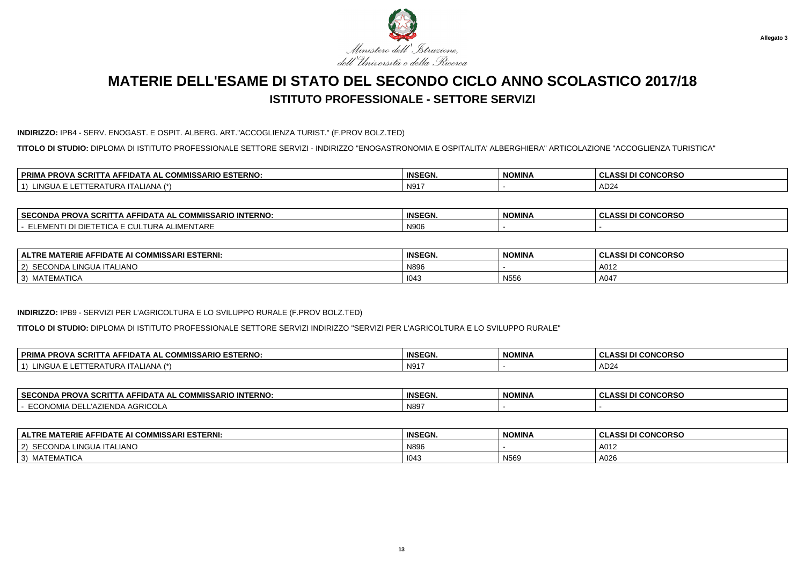

**INDIRIZZO:** IPB4 - SERV. ENOGAST. E OSPIT. ALBERG. ART."ACCOGLIENZA TURIST." (F.PROV BOLZ.TED)

**TITOLO DI STUDIO:** DIPLOMA DI ISTITUTO PROFESSIONALE SETTORE SERVIZI - INDIRIZZO "ENOGASTRONOMIA E OSPITALITA' ALBERGHIERA" ARTICOLAZIONE "ACCOGLIENZA TURISTICA"

| ----<br><b>COMMISSARIO ESTERNO:</b><br><b>PRIM</b><br>ווטי<br><b>AFFIDA</b><br>\ AL<br>. JURII<br>אשי | <b>INSEGN.</b> | <b>NOMINA</b> | <b>I CONCORSO</b><br><b>ACCI</b><br>833 |
|-------------------------------------------------------------------------------------------------------|----------------|---------------|-----------------------------------------|
| 11121<br>TALIANA.<br>NGUA<br>. .<br>ERF<br>UNA                                                        | 1 N91          |               | $\sqrt{2}$<br>. ADZ4                    |

| <b>SECON</b><br><b>INTERNO</b><br>$\sim$<br>.<br>FIDATA AL<br>:RI1<br>.OND/<br>. д.<br>ISSARIL<br>יש ה<br>w | <b>INSEGN.</b> | <b>NOMINA</b> | <b>CONCORSO</b><br>$\mathbf{A}$<br>---- |
|-------------------------------------------------------------------------------------------------------------|----------------|---------------|-----------------------------------------|
| .<br>$\sim$<br>$\ddot{\phantom{1}}$<br>ּ״<br>IN IL NI<br>:N I ARE<br>ப∪ச<br>vu<br>                          | N906           |               |                                         |

| : AFFIDATE AI COMMISSARI ESTERNI:<br><b>MATERIE</b><br><b>ALTRE</b> | <b>INSEGN.</b> | <b>NOMINA</b> | <b>II CONCORSO</b><br>0.001 <sub>D</sub><br>-GLASSI DI |
|---------------------------------------------------------------------|----------------|---------------|--------------------------------------------------------|
| CONDA LINGUA ITALIANO<br>SECOND<br>$'$ 2)                           | N89            |               | A012                                                   |
| MATEMATICA<br>3)                                                    | 1043           | N556          | A047                                                   |

#### **INDIRIZZO:** IPB9 - SERVIZI PER L'AGRICOLTURA E LO SVILUPPO RURALE (F.PROV BOLZ.TED)

**TITOLO DI STUDIO:** DIPLOMA DI ISTITUTO PROFESSIONALE SETTORE SERVIZI INDIRIZZO "SERVIZI PER L'AGRICOLTURA E LO SVILUPPO RURALE"

| ∣ PRIMA<br><i>I</i> IISSARIO ESTERNO:<br><b>PROVA SCRITTA AFF'</b><br><b>COMMISS/</b><br>$P_{\text{max}}$<br>FIDAT<br>IA AL | <b>INSEGN.</b> | <b>NOMINA</b> | I DI CONCORSO<br>$\mathbf{A}$<br><b>ULAJJI</b> |
|-----------------------------------------------------------------------------------------------------------------------------|----------------|---------------|------------------------------------------------|
| _INGL<br>'ANA<br>$\overline{1}$<br>ITAL).<br>4 I UR7<br>. $P$<br>W U                                                        | N91            |               | $\sim$<br>ADZ"                                 |

| <b>SECO</b><br>.<br>'41C.<br>יים<br>apov<br>IJA IA AL<br>- SURI '<br>"WISSARIU"<br><b>INIERNU</b><br>-ռս<br>. | <b>INSEGN.</b> | <b>NOMINA</b> | $\sim$<br>.<br>טראשנ<br>u<br>u<br>. |
|---------------------------------------------------------------------------------------------------------------|----------------|---------------|-------------------------------------|
| GRICOLA<br>$\rightarrow$                                                                                      | N89            |               |                                     |

| MATERIE AFFIDATE AI COMMISSARI ESTERNI:<br><b>ALTRE</b> | <b>INSEGN.</b> | <b>NOMINA</b> | <b>ASSI DI CONCORSO</b> |
|---------------------------------------------------------|----------------|---------------|-------------------------|
| SECONDA LINGUA ITALIANO<br>$\vert 2 \rangle$            | N896           |               | A012                    |
| 3) MATEMATICA                                           | 1043           | N569          | A026                    |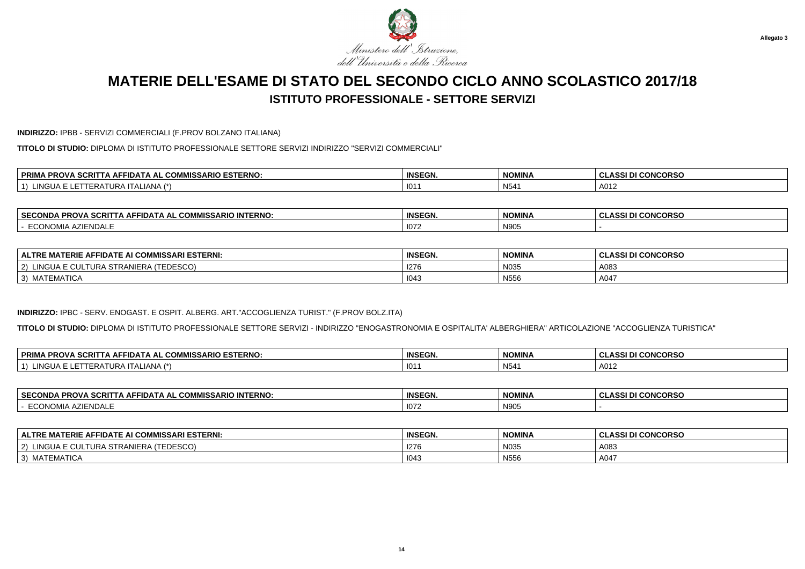

**INDIRIZZO:** IPBB - SERVIZI COMMERCIALI (F.PROV BOLZANO ITALIANA)

**TITOLO DI STUDIO:** DIPLOMA DI ISTITUTO PROFESSIONALE SETTORE SERVIZI INDIRIZZO "SERVIZI COMMERCIALI"

| $ -$<br>. COMMISSARIO ESTERNO:<br><b>PRIM</b><br><b>DOO'</b><br><b>FFIDA</b><br>-00<br>AL<br>'NU.<br>-99 | <b>INSEGN</b> | <b>NOMINA</b> | <b>I CONCORSO</b><br>$\sim$<br><b>ULAJJ</b> |
|----------------------------------------------------------------------------------------------------------|---------------|---------------|---------------------------------------------|
| 11121<br>NGUA<br>I LALIANA<br>I IN F<br>UNA                                                              | 101           | ᅂ<br>ט אי     | A012                                        |

| $\mathbf{A} = \mathbf{A} \mathbf{A} + \mathbf{B} \mathbf{A}$<br>IISSARIO INTERNO:<br><b>PROVA</b><br>CON'<br>SCRIT<br>CONDA<br>$\mathsf{A}$ AFFIDAT<br>… ∪OMM!`<br>--<br>. . A A ! | <b>INSEGN.</b> | NOMINA                       | <b>CONCORSO</b><br>, ULASSI ™ |
|------------------------------------------------------------------------------------------------------------------------------------------------------------------------------------|----------------|------------------------------|-------------------------------|
| `AZIENDALL<br>$\cdots$<br>וועושעוי<br>- v                                                                                                                                          | 1072           | <b>NIOOL</b><br><b>INAN:</b> |                               |

| E AFFIDATE AI COMMISSARI ESTERNI:<br>MATERIE<br><b>ALTRF</b>                          | <b>INSEGN.</b> | <b>NOMINA</b> | <b>I CONCORSO</b><br>$A$ $O$ $I$<br>ULAJJI VI |
|---------------------------------------------------------------------------------------|----------------|---------------|-----------------------------------------------|
| TEDESCO<br>111C<br>$\overline{\phantom{a}}$<br>$\sim$<br>TRANIERA<br>IURA<br><u>_</u> | 1276           | N035          | A083                                          |
| :MATICA<br>$\sim$<br><b>IVIA I L</b><br>ັ                                             | 1043           | N556          | A047                                          |

### **INDIRIZZO:** IPBC - SERV. ENOGAST. E OSPIT. ALBERG. ART."ACCOGLIENZA TURIST." (F.PROV BOLZ.ITA)

**TITOLO DI STUDIO:** DIPLOMA DI ISTITUTO PROFESSIONALE SETTORE SERVIZI - INDIRIZZO "ENOGASTRONOMIA E OSPITALITA' ALBERGHIERA" ARTICOLAZIONE "ACCOGLIENZA TURISTICA"

| PRIM/<br><b>、SCRIT</b><br><b>.ISSARIO ESTERNO:</b><br>$-$<br><b>AFFIDATA</b><br><b>PROVA</b><br><br>AL<br>COMM<br>.<br>$\overline{ }$<br><u>ы</u> | <b>INSEGN.</b>        | <b>NOMINA</b>   | <b>I CONCORSO</b><br>$\sim$<br>ASSING<br>ULAJJI D |
|---------------------------------------------------------------------------------------------------------------------------------------------------|-----------------------|-----------------|---------------------------------------------------|
| i INGUA<br>$\Lambda$ NIA<br>$\lambda$<br><b>FRA</b><br>ΙAΙ<br>AIURA II<br>AIVH                                                                    | $\overline{10}$<br>10 | N <sub>54</sub> | A012                                              |

| <b>SECONDA</b><br>$\sim$ 0.0 $\sim$<br><b>;CRITTA AFFIDATA AL COMMISSARIO I</b><br><b>INTERNO:</b><br>אי-<br><b>VA 56</b> | <b>INSEGN.</b>       | <b>NOMINA</b> | I DI CONCORSO<br>.<br>$\sim$<br><b>ULA</b> |
|---------------------------------------------------------------------------------------------------------------------------|----------------------|---------------|--------------------------------------------|
| <b>NDAL</b><br>.<br>.uunum                                                                                                | $\sim$<br><b>107</b> | N905          |                                            |

| <b>ALTRE MATERIE AFFIDATE AI COMMISSARI ESTERNI:</b>                  | <b>INSEGN.</b> | <b>NOMINA</b> | ASSI DI CONCORSO |
|-----------------------------------------------------------------------|----------------|---------------|------------------|
| (TEDESCO)<br>LINGUA I<br>$\cdots$ $\sim$<br>: CULTURA STRANIERA<br>2) | 1276           | N035          | A083             |
| MATEMATICA<br>$\vert 3 \rangle$                                       | 1043           | N556          | A047             |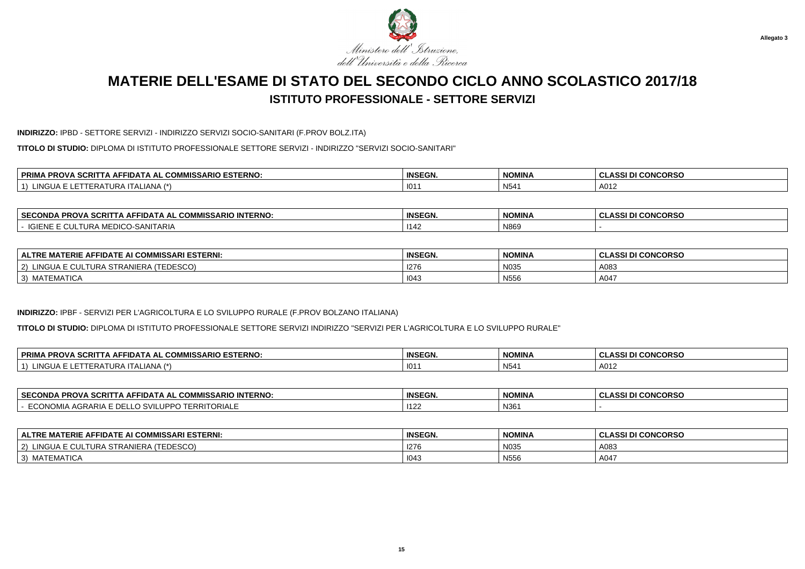

#### **INDIRIZZO:** IPBD - SETTORE SERVIZI - INDIRIZZO SERVIZI SOCIO-SANITARI (F.PROV BOLZ.ITA)

**TITOLO DI STUDIO:** DIPLOMA DI ISTITUTO PROFESSIONALE SETTORE SERVIZI - INDIRIZZO "SERVIZI SOCIO-SANITARI"

| <b>ESTERNO</b><br>-----<br><b>OMMICL</b><br><b>MISSARIO</b> '<br>סם<br>. .<br>∼iDA ⊨<br>SCRI<br>AL<br>. AF.<br>uum<br>י שרי<br>$\overline{\phantom{a}}$ | <b>INSEGN.</b> | <b>NOMINA</b> | <b>CONCORSO</b><br>$\sim$<br>-- NJJI 1 |
|---------------------------------------------------------------------------------------------------------------------------------------------------------|----------------|---------------|----------------------------------------|
| $\overline{1}$<br><br>URA<br>-IANA<br>∙RA.<br>$. \iota \mathsf{I} \mathsf{A}$                                                                           | 101            | NFA<br>' ب۱   | A012                                   |

| <b>SECONDA</b><br><b>PROVA SCRI.</b><br>COMMISSARIO INTERNO:<br>∠IDATA AL COMª<br>. IA AF' | <b>INSEGN.</b> | NOMINA | <b>CONCORSO</b><br>$\cdots$<br>. W.<br>333 L |
|--------------------------------------------------------------------------------------------|----------------|--------|----------------------------------------------|
| )-SANITARIA<br><b>POIEM</b><br>MEDICO<br><b>UULTURA</b>                                    | 1142           | N869   |                                              |

| : AFFIDATE AI COMMISSARI ESTERNI:<br><b>IATERIE</b><br><b>ALTRE</b>        | <b>INSEGN.</b> | <b>NOMINA</b>          | <b>I CONCORSO</b><br>∴ JLASSI P' |
|----------------------------------------------------------------------------|----------------|------------------------|----------------------------------|
| <b>TEDESCO)</b><br>LINGU/<br>$\sim$<br>$\sim$<br>2)<br>IURA SIRANIERA<br>w | 1276           | N035                   | A083                             |
| MATEMATICA<br>$\vert 3 \rangle$                                            | 1043           | $F = F$<br><b>N556</b> | A047                             |

#### **INDIRIZZO:** IPBF - SERVIZI PER L'AGRICOLTURA E LO SVILUPPO RURALE (F.PROV BOLZANO ITALIANA)

**TITOLO DI STUDIO:** DIPLOMA DI ISTITUTO PROFESSIONALE SETTORE SERVIZI INDIRIZZO "SERVIZI PER L'AGRICOLTURA E LO SVILUPPO RURALE"

| <b>SCRIT</b><br><b>PRIM</b><br><b>COMMISSARIO ESTERNO.</b><br><b>PROVA</b><br>⊡DA T<br>A AL<br>. IA AF<br>- UNI <sup>II</sup> - | <b>INSEGN</b> | <b>NOMINA</b> | <b>I CONCORSO</b><br>DI |
|---------------------------------------------------------------------------------------------------------------------------------|---------------|---------------|-------------------------|
| LINGUA.<br>(4)<br>◡<br>IANA<br>URA<br>$\mathbf{A}$<br>11. A L                                                                   | 101           | N54'          | A012                    |

| <b>SECC</b><br>---<br><b>MICL</b><br>יים<br>opov<br>11) A LA AL<br>™WISSARIU ∴<br>- 3UKI '<br>' IN LERNU<br>FRU<br>, лишт | <b>INSEGN.</b> | <b>NOMINA</b> | $\cdots$<br>טראשנ<br>u<br>$-12.7$ |
|---------------------------------------------------------------------------------------------------------------------------|----------------|---------------|-----------------------------------|
| TORIAL<br>.JRARIA<br>-RRI<br>$\overline{\phantom{a}}$                                                                     | 1122           | N361          |                                   |

| E AFFIDATE AI COMMISSARI ESTERNI:<br>$ALTRE$ MAT<br>. MATERIE                     | <b>INSEGN</b> | <b>NOMINA</b> | <b>I CONCORSO</b><br><b>ASSI DI</b> |
|-----------------------------------------------------------------------------------|---------------|---------------|-------------------------------------|
| INGUA F<br>$\sim$<br>L TURA STRANIE 1<br>$\sim$<br>'IERA<br>CUESCO).<br><u>UL</u> | 1276          | N035          | A083                                |
| ` MATEMATICA<br>$\sim$<br>◡                                                       | 1043          | N556          | A047                                |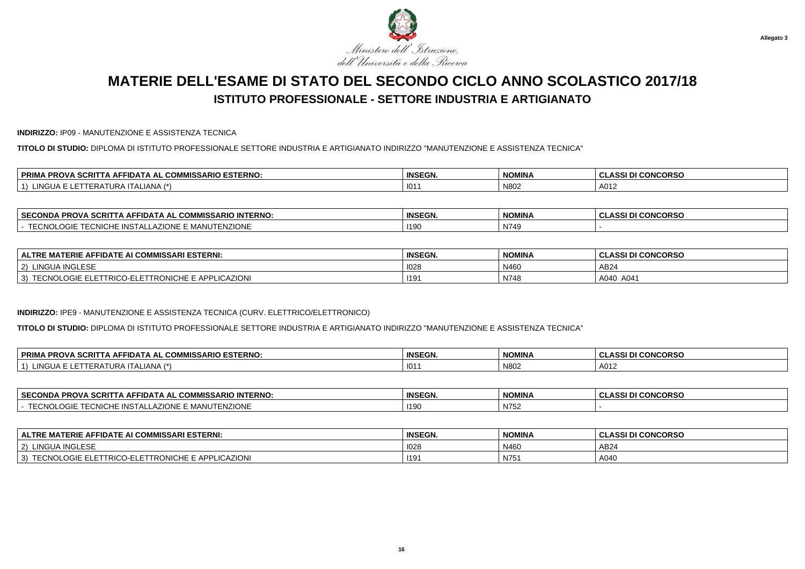

**INDIRIZZO:** IP09 - MANUTENZIONE E ASSISTENZA TECNICA

**TITOLO DI STUDIO:** DIPLOMA DI ISTITUTO PROFESSIONALE SETTORE INDUSTRIA E ARTIGIANATO INDIRIZZO "MANUTENZIONE E ASSISTENZA TECNICA"

| ARIO ESTERNO.<br><b>PRIM.</b><br>$\sim$<br>$\sim$<br>300.5<br><b>PROVA</b><br>` AFFID⊷<br>. АІ<br>.ISSARIO<br>. uur<br>. ounii<br>$\overline{\phantom{0}}$ | <b>INSEGN.</b> | <b>NOMINA</b> | <b>CONCORSO</b><br>$\sim$<br>-433 L |
|------------------------------------------------------------------------------------------------------------------------------------------------------------|----------------|---------------|-------------------------------------|
| <b>INGUA</b>                                                                                                                                               | 101            |               |                                     |
| …∟ANA (^`                                                                                                                                                  |                | N802          | A012                                |

| <b>SECON</b><br><b>INTERNO</b><br>. JUMMI <sup>c∩</sup> ∶<br><b><i>I</i>IISSARIO</b><br>FIDATA AL<br>__ONDA<br>Δ⊨<br>7 N U | <b>INSEGN.</b> | <b>NOMINA</b>        | <b>NCORSO</b><br>$\sim$<br><br>. .<br>u<br>.<br>u |
|----------------------------------------------------------------------------------------------------------------------------|----------------|----------------------|---------------------------------------------------|
| ЭNЕ<br><u>¬ъ.</u><br>-N∕I<br>חות<br><b>LUNG</b><br>IVIF<br>.<br>ت ۷۰                                                       | 1190           | $\mathbf{A}$<br>N/49 |                                                   |

| TERIE AFFIDATE AI COMMISSARI ESTERNI:<br><b>ALTRE</b>                                                            | <b>INSEGN.</b> | <b>NOMINA</b> | <b>CLASSI DI CONCORSO</b> |
|------------------------------------------------------------------------------------------------------------------|----------------|---------------|---------------------------|
| LINGUA INGLESE<br>$^{\prime}$ 2)                                                                                 | 1028           | N460          | AB24                      |
| O-ELETTRONICHE E APPLICAZIONI<br>$\sim$ $\sim$ $\sim$ $\sim$<br><b>TRICO</b><br><b>TECNIO</b><br>3)<br>. ⊾ltil F | 1191           | N748          | A040 A041                 |

#### **INDIRIZZO:** IPE9 - MANUTENZIONE E ASSISTENZA TECNICA (CURV. ELETTRICO/ELETTRONICO)

**TITOLO DI STUDIO:** DIPLOMA DI ISTITUTO PROFESSIONALE SETTORE INDUSTRIA E ARTIGIANATO INDIRIZZO "MANUTENZIONE E ASSISTENZA TECNICA"

| <b>、SCRIT</b><br><b>PRIM</b><br><b>AISSARIO ESTERNO:</b><br>COMMICS.<br><b>PROVA</b><br>AFFIDAT<br>A AL<br>. JUM™<br>1 A J | <b>INSEGN.</b> | <b>NOMINA</b> | I DI CONCORSO<br>.<br>$\sim$<br><b>ULAJJI</b> |
|----------------------------------------------------------------------------------------------------------------------------|----------------|---------------|-----------------------------------------------|
| <b>INGUA</b><br>$\overline{1}$<br>IANA<br>ᆸ<br>IURA<br>- 231<br>டங<br>$\cdot$ . $\sim$ .                                   | 101            | N802          | A012                                          |

| <b>SECONDA</b><br><b>PROVA SCRIT</b><br><b>FIDATA AL COMMISSARIO INTERNO:</b><br>. IA AF'                                     | <b>INSEGN.</b> | NOMINA | <b>CONCORSO</b><br>$\cdots$<br>u<br>---- |
|-------------------------------------------------------------------------------------------------------------------------------|----------------|--------|------------------------------------------|
| <b>TENZIONE</b><br>TTOMI<br><b>INSTAL</b><br><b>ZIONE</b><br>$-M -$<br>INIU O E<br>י יצוי -<br>$\overline{\mathbf{v}}$<br>$-$ | 119            | N752   |                                          |

| ∣ ALTRE MATERIE AFFIDATE AI COMMISSARI ESTERNI:                                               | <b>INSEGN.</b> | <b>NOMINA</b> | ASSI DI CONCORSO |
|-----------------------------------------------------------------------------------------------|----------------|---------------|------------------|
| LINGUA INGLESE<br>$\sim$<br>-2)                                                               | 1028           | N460          | AB24             |
| TTRONICHE E APPLICAZIONI<br>$\sim$ $\sim$ $\sim$ $\sim$<br>ELETTRICO-ELETT<br>TECNOL<br>-UGIE | 119'           | N751          | A040             |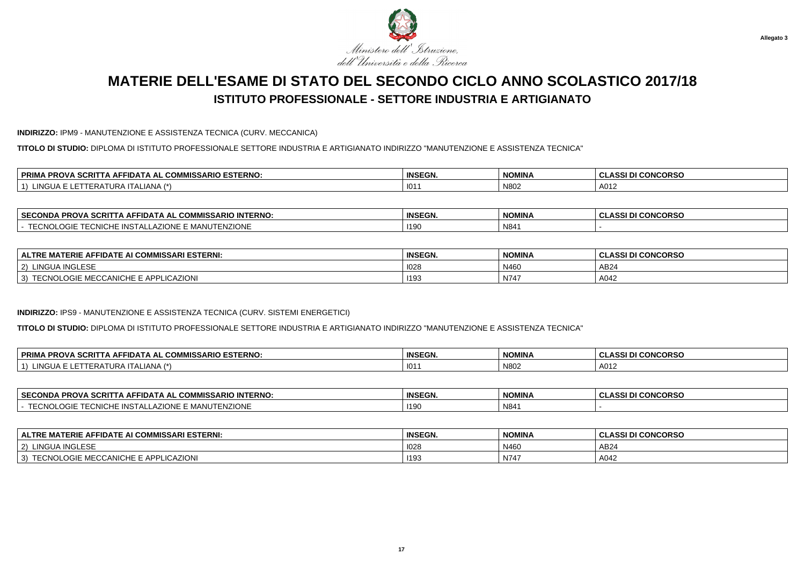

#### **INDIRIZZO:** IPM9 - MANUTENZIONE E ASSISTENZA TECNICA (CURV. MECCANICA)

**TITOLO DI STUDIO:** DIPLOMA DI ISTITUTO PROFESSIONALE SETTORE INDUSTRIA E ARTIGIANATO INDIRIZZO "MANUTENZIONE E ASSISTENZA TECNICA"

| $\sim$<br>. COMMISSARIO ESTERNO:<br><b>PRIM</b><br><b>FFIDAT.</b><br>. AL<br>A<br>эu<br>'NU | <b>INSEGN.</b> | <b>NOMINA</b> | <b>I CONCORSO</b><br>.<br>CLASS |
|---------------------------------------------------------------------------------------------|----------------|---------------|---------------------------------|
| $\sim$<br>$\rightarrow$<br>NGUA<br><b>I ALIANA</b><br>URF<br>–n⊬                            | 101            | N802          | A012                            |

| <b>SECC</b><br><b>PROVA SCRI.</b><br><b>IMISSARIO INTERNO:</b><br>ECONDA<br>·IDA I A AL<br>IA AD<br>. uuw                  | <b>INSEGN.</b> | NOMINA | <b>CONCORSO</b><br>.<br>u<br>-33 |
|----------------------------------------------------------------------------------------------------------------------------|----------------|--------|----------------------------------|
| <b>NZIONE</b><br><b>INSTA</b><br><b>-0110</b><br><b>ZIONE</b><br>- 11. A<br><u>д</u><br>INIU O E<br><b>AVILI</b><br>ີ<br>. | 119            | N841   |                                  |

| <b>I COMMISSARI ESTERNI:</b><br>$\sim$<br>ERIE<br><b>IDATL</b><br><b>ALTRE</b><br>. A E<br>. .<br> | <b>INSEGN.</b> | <b>NOMINA</b> | <b>CONCORSO</b><br>$\cdots$<br>u |
|----------------------------------------------------------------------------------------------------|----------------|---------------|----------------------------------|
| <b>INGLESF</b><br>TINGU<br>2)                                                                      | 1028           | N460          | AB <sub>2</sub>                  |
| <b>LICAZIONI</b><br><b>FECNOLOGIE MECCANICHE E APPL</b><br>3)                                      | 1193           | N747          | A042                             |

#### **INDIRIZZO:** IPS9 - MANUTENZIONE E ASSISTENZA TECNICA (CURV. SISTEMI ENERGETICI)

**TITOLO DI STUDIO:** DIPLOMA DI ISTITUTO PROFESSIONALE SETTORE INDUSTRIA E ARTIGIANATO INDIRIZZO "MANUTENZIONE E ASSISTENZA TECNICA"

| <b>PRIM</b><br><b>SCRIT</b><br><i><b>AISSARIO ESTERNO:</b></i><br>COMMICS.<br><b>PROVA</b><br>AFFIDAT<br>A AL<br>. IA AFT<br>ึ๛๛๛ | <b>INSEGN.</b> | <b>NOMINA</b> | I DI CONCORSO<br>.<br>$\sim$<br><b>ULAJJ</b> |
|-----------------------------------------------------------------------------------------------------------------------------------|----------------|---------------|----------------------------------------------|
| LINGUA.<br>$\overline{1}$<br>IAN A<br>⊢⊌∆<br>A I URA I<br>- 231<br>∟n≠<br>11 A L                                                  | 101            | N802          | A012                                         |

| │ SECONDA PROVA SCRITTA AFFIDATA AL COMMISSARIO INTERNO:                          | <b>INSEGN.</b> | <b>NOMINA</b> | I CONCORSO<br>.<br><b>ULAJJI</b><br>-- |
|-----------------------------------------------------------------------------------|----------------|---------------|----------------------------------------|
| <b>JTENZIONE</b><br>TTOMI<br>TECNICHE INSTALLAZIONE E MANUT <sup>r</sup><br>UGIE. | 1190           | N841          |                                        |

| <b>MATERIE AFFIDATE AI COMMISSARI ESTERNI:</b><br><b>ALTRE</b>    | <b>INSEGN.</b> | <b>NOMINA</b> | <b>ASSI DI CONCORSO</b> . |
|-------------------------------------------------------------------|----------------|---------------|---------------------------|
| LINGUA INGLESE<br>$ 2\rangle$                                     | 1028           | N46           | AB24                      |
| <b>FECNOLOGIE MECCANICHE E APPLICAZIONI</b><br>$T T \cap Y$<br>3) | 1193           | N747          | A042                      |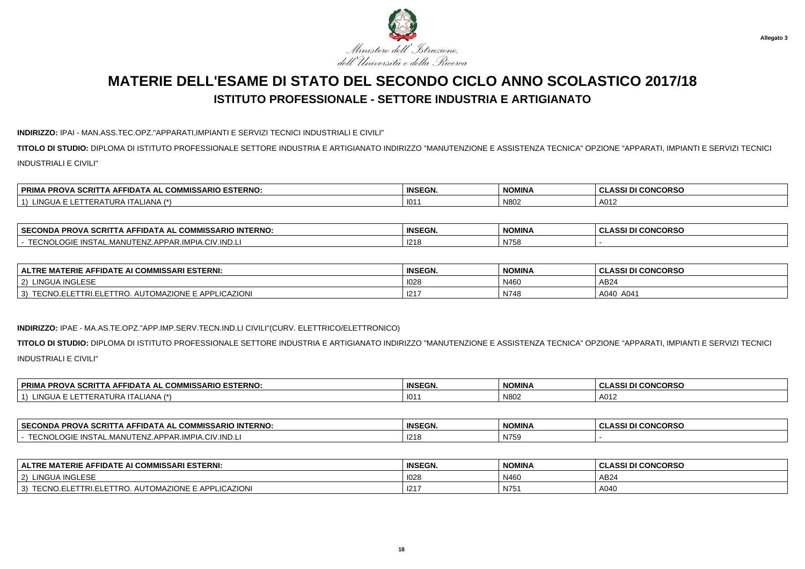

### **INDIRIZZO:** IPAI - MAN.ASS.TEC.OPZ."APPARATI,IMPIANTI E SERVIZI TECNICI INDUSTRIALI E CIVILI"

**TITOLO DI STUDIO:** DIPLOMA DI ISTITUTO PROFESSIONALE SETTORE INDUSTRIA E ARTIGIANATO INDIRIZZO "MANUTENZIONE E ASSISTENZA TECNICA" OPZIONE "APPARATI, IMPIANTI E SERVIZI TECNICIINDUSTRIALI E CIVILI"

| L COMMISSARIO ESTERNO:<br><b>PRIMA</b><br><b>A SCRITTA AFF</b><br><b>PROVA</b><br>TIDATA AL | <b>INSEGN.</b> | NOMINA | <b>I CONCORSO</b><br><b>CLASSI DI</b> ان |
|---------------------------------------------------------------------------------------------|----------------|--------|------------------------------------------|
| <b>ING</b><br>`ALIANA`<br>$\overline{A}$                                                    | 101            | N80    | A012                                     |

| <b>SECC</b><br><b>INTERNO</b><br>$\sim$ 0.0 $\sim$<br><u>^^*</u><br><b>ECONDA</b><br><b>PRO\</b><br><b>IISSARIC</b><br>FIDATA<br>Δ⊨<br>. АІ<br>.11<br>w | <b>INSEGN</b> | <b>NOMINA</b> | <b>I CONCORSC</b><br>$\sim$<br><b>_ASSI</b><br>ີ |
|---------------------------------------------------------------------------------------------------------------------------------------------------------|---------------|---------------|--------------------------------------------------|
| TTOMI<br>INIC <sup>-</sup><br>$\cap$ IV.IN <sub>L</sub><br>$\sim$<br>APPAR.<br>NSIAL<br>AL.IVIANU<br>$\sim$ $\sim$ $\sim$<br>$\overline{ }$             | 1218          | N758          |                                                  |

| <b>ALTRE MATERIE AFFIDATE AI COMMISSARI ESTERNI:</b>                          | <b>INSEGN.</b> | <b>NOMINA</b> | <b>I CONCORSO</b><br>0.001<br>-GLASSI DI |
|-------------------------------------------------------------------------------|----------------|---------------|------------------------------------------|
| LINGUA INGLESE<br>2)                                                          | 1028           | N460          | AB24                                     |
| . AUTOMAZIONE E APPLICAZIONI<br>TECNO.L<br>LETTRO.<br>` <sup>⊏</sup> TTRI.E∟. | 1217           | N748          | A040<br>A041                             |

#### **INDIRIZZO:** IPAE - MA.AS.TE.OPZ."APP.IMP.SERV.TECN.IND.LI CIVILI"(CURV. ELETTRICO/ELETTRONICO)

**TITOLO DI STUDIO:** DIPLOMA DI ISTITUTO PROFESSIONALE SETTORE INDUSTRIA E ARTIGIANATO INDIRIZZO "MANUTENZIONE E ASSISTENZA TECNICA" OPZIONE "APPARATI, IMPIANTI E SERVIZI TECNICIINDUSTRIALI E CIVILI"

| SCRIT<br><b>L COMMISSARIO ESTERNO:</b><br><b>PRIMA PROVA</b><br>FIDATA AL<br>. IA AF' | <b>INSEGN.</b> | <b>NOMINA</b> | <b>I CONCORSO</b><br>ח ופכו ד<br>----- |
|---------------------------------------------------------------------------------------|----------------|---------------|----------------------------------------|
| $I$ ANIA $\rightarrow$<br>101<br>.ingua '<br>TI ALIANA<br>URA                         | 101            | N802          | A012                                   |

| <b>SECON</b><br>111T<br><b>CDNI</b><br><br>- הום<br><b>PROVA</b><br><b>SCRIT</b><br>י בנ.<br>ונמו<br>$\mathbf{v}$<br><u>. да</u> .<br>'IVIISSARIU .<br>'INIERNU.<br>. . | <b>INSEGN.</b> | <b>NIOMINI</b><br>NUMINA | <b>CONCORSC</b><br>$\sim$<br>-333 |
|-------------------------------------------------------------------------------------------------------------------------------------------------------------------------|----------------|--------------------------|-----------------------------------|
| IND.L<br>$\sim$<br>∧IPI∆<br><b>IIV</b><br>.<br>IVZ                                                                                                                      | 1218           | N759                     |                                   |

| ∣ ALTRE MATERIE AFFIDATE AI COMMISSARI ESTERNI:                                   | <b>INSEGN.</b> | <b>NOMINA</b> | I DI CONCORSO<br>: CLAS <sup>e</sup> |
|-----------------------------------------------------------------------------------|----------------|---------------|--------------------------------------|
| LINGUA INGLESE<br>(2)                                                             | 1028           | N460          | AB24                                 |
| <b>LICAZION</b><br>AUTOMAZIONE E APP<br><b>TECNO.ELET</b><br>LETTRI.ELET<br>™TRO. | 1217           | N75'          | A040                                 |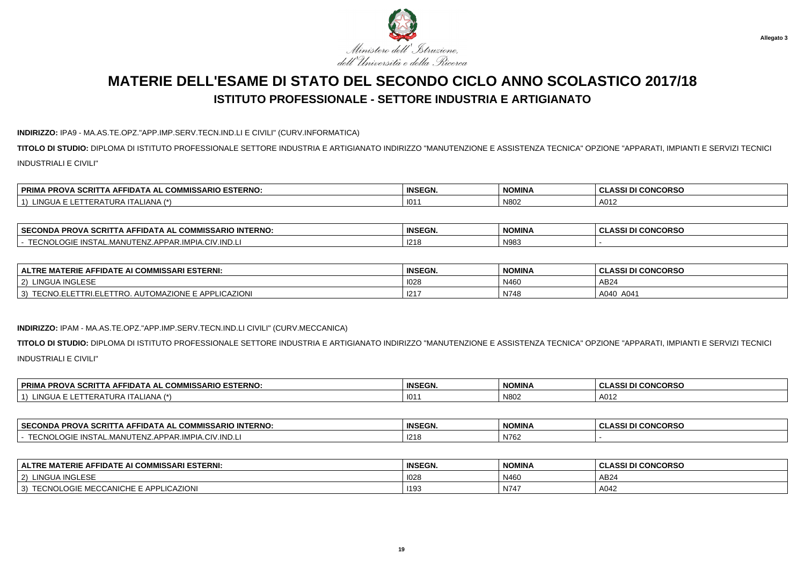

### **INDIRIZZO:** IPA9 - MA.AS.TE.OPZ."APP.IMP.SERV.TECN.IND.LI E CIVILI" (CURV.INFORMATICA)

**TITOLO DI STUDIO:** DIPLOMA DI ISTITUTO PROFESSIONALE SETTORE INDUSTRIA E ARTIGIANATO INDIRIZZO "MANUTENZIONE E ASSISTENZA TECNICA" OPZIONE "APPARATI, IMPIANTI E SERVIZI TECNICIINDUSTRIALI E CIVILI"

| <b>VIISSARIO ESTERNO.</b><br><b><i><b>SCRITT</b></i></b><br><b>FRIMA PROVA</b><br><b>TA AFFIDATA AL COMP</b> | <b>INSEGN.</b> | <b>NOMINA</b> | <b>CLASSI DI CONCORSO</b> |
|--------------------------------------------------------------------------------------------------------------|----------------|---------------|---------------------------|
| LINGUA<br>TALIANA (†<br>IERAIURA I'                                                                          | 101            | N80           | A012                      |

| <b>SECONDA PROVA SCRITTA</b><br>TTA AFFIDATA AL COMMISSARIO INTERNO:       | <b>INSEGN.</b> | <b>NOMINA</b> | I CONCORSC<br><b>CLASSI</b> |
|----------------------------------------------------------------------------|----------------|---------------|-----------------------------|
| TTOMOM<br><b>INSTAL.MANUTENZ.APPAR.</b><br>\.CIV.IND.L<br>VIPIA<br>EUNULUG | 1218           | N983          |                             |

| │ ALTRE MATERIE AFFIDATE AI COMMISSARI ESTERNI:              | <b>INSEGN.</b> | <b>NOMINA</b> | <b>I CONCORSO</b><br>8001 DI<br>GLASSI DI |
|--------------------------------------------------------------|----------------|---------------|-------------------------------------------|
| UA INGLESE<br>2)<br>ີ ! INGUA ⊪.                             | 1028           | N460          | AB24                                      |
| . AUTOMAZIONE E APPLICAZIONI<br>TECNO.ELETTRI.ELETTRO.<br>۰J | , 1217         | N748          | A040 A041                                 |

#### **INDIRIZZO:** IPAM - MA.AS.TE.OPZ."APP.IMP.SERV.TECN.IND.LI CIVILI" (CURV.MECCANICA)

**TITOLO DI STUDIO:** DIPLOMA DI ISTITUTO PROFESSIONALE SETTORE INDUSTRIA E ARTIGIANATO INDIRIZZO "MANUTENZIONE E ASSISTENZA TECNICA" OPZIONE "APPARATI, IMPIANTI E SERVIZI TECNICIINDUSTRIALI E CIVILI"

| IMISSARIO ESTERNO:<br><b>PRIMA PROVA</b><br><b>SCRIT</b><br><b>COMMISS</b><br>نام AFFIDATA ا ، | <b>INSEGN.</b> | <b>NOMINA</b> | <b>DI CONCORSO</b><br><b>ULAJJI</b> |
|------------------------------------------------------------------------------------------------|----------------|---------------|-------------------------------------|
| LINGUA F<br>ALIANA (*)<br>AIUR.<br>.<br>.                                                      | 101            | N802          | A012                                |

| ∣ SECO<br><b>INTERNO</b><br>MICC.<br>COMMISSARIO<br><b>PROVA</b><br>II) A I A AI<br>- SURIL<br>Nija | <b>INSEGN.</b> | <b>NIOMINIA</b><br><b>IVUIVIIIVA</b> | <b>CONCORSO</b><br><b>ACCI</b> |
|-----------------------------------------------------------------------------------------------------|----------------|--------------------------------------|--------------------------------|
| IND.L<br>$\overline{\phantom{a}}$<br>ີ '''PIA.ບ.<br><b>ADDA</b><br>4ANU<br>$\sim$<br>.<br>71 Y.I    | 1215<br>- 14   | N762                                 |                                |

| ALTRE MATERIE AFFIDATE AI COMMISSARI ESTERNI:            | <b>INSEGN.</b> | <b>NOMINA</b> | I CONCORSO<br>، ce<br>. . |
|----------------------------------------------------------|----------------|---------------|---------------------------|
| 1110100<br><b>INGUA</b><br>$\sim$<br><b>INGLESE</b>      | 1028           | N460          | AB24                      |
| :HF F<br>- MECCANIC'<br><b>APPLICAZIONI</b><br>CUNULUUIF | 1193           | N747          | A042                      |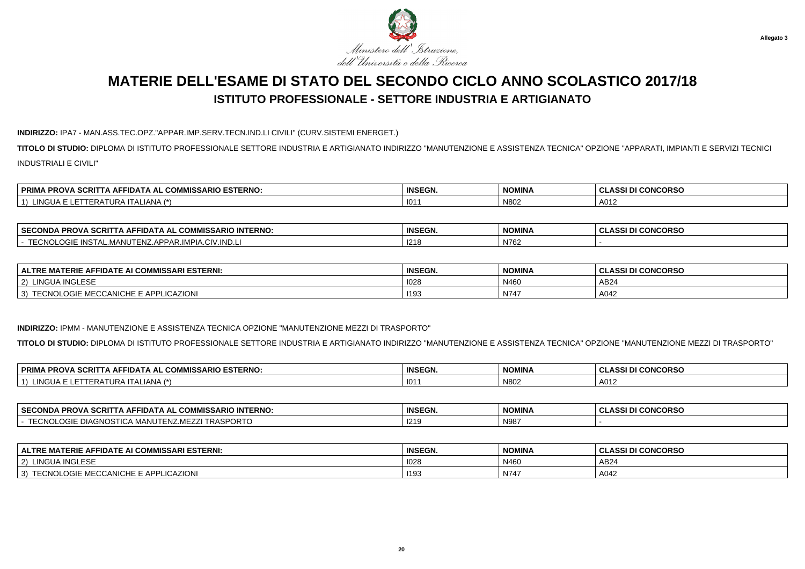

### **INDIRIZZO:** IPA7 - MAN.ASS.TEC.OPZ."APPAR.IMP.SERV.TECN.IND.LI CIVILI" (CURV.SISTEMI ENERGET.)

**TITOLO DI STUDIO:** DIPLOMA DI ISTITUTO PROFESSIONALE SETTORE INDUSTRIA E ARTIGIANATO INDIRIZZO "MANUTENZIONE E ASSISTENZA TECNICA" OPZIONE "APPARATI, IMPIANTI E SERVIZI TECNICIINDUSTRIALI E CIVILI"

| <b>VIISSARIO ESTERNO.</b><br><b><i><b>SCRITT</b></i></b><br><b>FRIMA PROVA</b><br><b>TA AFFIDATA AL COMP</b> | <b>INSEGN.</b> | <b>NOMINA</b> | <b>CLASSI DI CONCORSO</b> |
|--------------------------------------------------------------------------------------------------------------|----------------|---------------|---------------------------|
| LINGUA<br>TALIANA (†<br>IERAIURA I'                                                                          | 101            | N80           | A012                      |

| <b>SECC</b><br><b>INTERNO</b><br>$\sim$ 0.0 $\sim$<br><u>^^*</u><br><b>ECONDA</b><br><b>PRO\</b><br><b>IISSARIC</b><br>FIDATA<br>Δ⊨<br>. АІ<br>.11<br>. | <b>INSEGN</b> | <b>NOMINA</b> | <b>I CONCORSC</b><br>$\sim$<br><b>_ASSI</b><br>ີ |
|---------------------------------------------------------------------------------------------------------------------------------------------------------|---------------|---------------|--------------------------------------------------|
| TTOMI<br>INIC <sup>-</sup><br>$\cap$ IV.IN <sub>L</sub><br>$\sim$<br>APPAR.<br>NSIAL<br>AL.IVIANU<br>$\sim$ $\sim$ $\sim$<br>$\overline{ }$             | 1218          | N762          |                                                  |

| FIDATE AI COMMISSARI ESTERNI:<br><b>ALTRE MATERIE</b><br>.<br>: A⊩           | <b>INSEGN.</b> | <b>NOMINA</b> | I CONCORSO<br><b>CLASSIDI</b> |
|------------------------------------------------------------------------------|----------------|---------------|-------------------------------|
| <b>INGLEST</b><br>$\mathcal{D}$<br>I INGUA.                                  | 1028           | N460          | AB <sub>2</sub>               |
| PLICAZIONI<br>ECCANICH<br><b>IE E APPI</b><br>3)<br>LUGIE MELT<br>יו ווערו ו | 1193           | N747          | A042                          |

#### **INDIRIZZO:** IPMM - MANUTENZIONE E ASSISTENZA TECNICA OPZIONE "MANUTENZIONE MEZZI DI TRASPORTO"

**TITOLO DI STUDIO:** DIPLOMA DI ISTITUTO PROFESSIONALE SETTORE INDUSTRIA E ARTIGIANATO INDIRIZZO "MANUTENZIONE E ASSISTENZA TECNICA" OPZIONE "MANUTENZIONE MEZZI DI TRASPORTO"

| . COMMISSARIO ESTERNO:<br><b>SCRI</b><br><b>PRIM</b><br><b>AFFIDATA</b><br><b>PROV.</b><br>AL. | <b>INSEGN.</b> | <b>NOMINA</b> | <b>I CONCORSO</b><br><b>CLASSI</b> |
|------------------------------------------------------------------------------------------------|----------------|---------------|------------------------------------|
| INOM<br>$1 \wedge 7 \star$<br>.<br>·RAI<br>. 1 U.H<br>. II ALIANA.<br>URA                      | 101            | N80           | A012                               |

| <b>SECONDA</b><br>) INTERNO:<br>$\sim$<br>$\sim$<br>$  -$<br><b>PROVA</b><br>TIUA I A AL<br>ourli<br>u<br>יכטויוו<br>- 11<br>                | <b>INSEGN.</b> | <b>NOMINA</b> | <b>CLASSI DI CONCORSO</b> |
|----------------------------------------------------------------------------------------------------------------------------------------------|----------------|---------------|---------------------------|
| $\sim$<br>$-$ - $\sim$<br>$\sim$<br><b></b><br>MANUTE<br>טואטי<br>∠LUGIE DIAGNOSTICA ™<br>IRAƏI<br>$-1$ $\lambda$ $\lambda$ . IVIF $\lambda$ | 1219           | N98           |                           |

| <b>ALTRE MATERIE AFFIDATE AI COMMISSARI ESTERNI:</b> | <b>INSEGN.</b> | <b>NOMINA</b> | <b>CLASSI DI CONCORSO</b> |
|------------------------------------------------------|----------------|---------------|---------------------------|
| <b>JA INGLESE</b><br>2) LINGUA                       | 1028           | N460          | AB24                      |
| TECNOLOGIE MECCANICHE E APPLICAZIONI<br>3)           | 1193           | $N74^-$       | A042                      |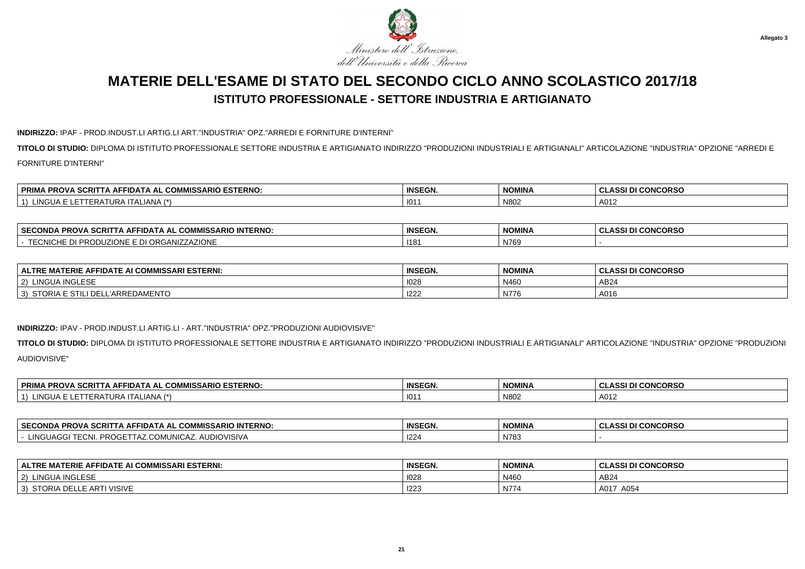

#### **INDIRIZZO:** IPAF - PROD.INDUST.LI ARTIG.LI ART."INDUSTRIA" OPZ."ARREDI E FORNITURE D'INTERNI"

**TITOLO DI STUDIO:** DIPLOMA DI ISTITUTO PROFESSIONALE SETTORE INDUSTRIA E ARTIGIANATO INDIRIZZO "PRODUZIONI INDUSTRIALI E ARTIGIANALI" ARTICOLAZIONE "INDUSTRIA" OPZIONE "ARREDI EFORNITURE D'INTERNI"

| <b>VIISSARIO ESTERNO.</b><br><b><i><b>SCRITT</b></i></b><br><b>FRIMA PROVA</b><br><b>TA AFFIDATA AL COMP</b> | <b>INSEGN.</b> | <b>NOMINA</b> | <b>CLASSI DI CONCORSO</b> |
|--------------------------------------------------------------------------------------------------------------|----------------|---------------|---------------------------|
| LINGUA<br>TALIANA (†<br>IERAIURA I'                                                                          | 101            | N80           | A012                      |

| <b>SECO</b><br><b>CDNO</b><br><b>INTERNO:</b><br><b>MISSARIO</b><br><b>PROVA</b><br>חוזר<br>SCRI<br>ا ۱۵، ۱۵ ۱۸،<br>NUA<br>J.V | <b>INSEGN.</b> | <b>NOMINA</b> | I DI CONCORSO<br>งเหงงเ |
|--------------------------------------------------------------------------------------------------------------------------------|----------------|---------------|-------------------------|
| zione<br><br>$\cdots$<br>∼<br><b>^`</b><br>--<br>או<br>\ll⊿<br>,,,,<br>ww<br>.<br>.                                            | <b>1181</b>    | N769          |                         |

| E AFFIDATE AI COMMISSARI ESTERNI:<br><b>ALTRE</b><br>: MATERIE . | <b>INSEGN.</b> | <b>NOMINA</b> | <b>CONCORSO</b><br>. .<br>. |
|------------------------------------------------------------------|----------------|---------------|-----------------------------|
| <b>INGLESE</b><br>INGUA<br>$\sim$                                | 1028           | N460          | AB24                        |
| DELL'ARREDAMENTO<br>STORIA<br>ESILI                              | 122'           | N/f           | A016                        |

#### **INDIRIZZO:** IPAV - PROD.INDUST.LI ARTIG.LI - ART."INDUSTRIA" OPZ."PRODUZIONI AUDIOVISIVE"

**TITOLO DI STUDIO:** DIPLOMA DI ISTITUTO PROFESSIONALE SETTORE INDUSTRIA E ARTIGIANATO INDIRIZZO "PRODUZIONI INDUSTRIALI E ARTIGIANALI" ARTICOLAZIONE "INDUSTRIA" OPZIONE "PRODUZIONIAUDIOVISIVE"

| \ SCRITTA AFFIDATA AL<br><b>PRIMA PROVA</b><br>_ COMMISSARI<br><b>SARIO ESTERNO.</b> | <b>INSEGN.</b> | <b>NOMINA</b> | <b>I CONCORSO</b><br>0.00101<br>$\sim$<br>333 U |
|--------------------------------------------------------------------------------------|----------------|---------------|-------------------------------------------------|
| INGUA L<br>.RATURA ITALIANA ′                                                        | 101            | N802          | A012                                            |

| <b>SECC</b><br><b>INTERNO</b><br>- JUMMISSARIO INTT<br>. PROV<br>ECONDA<br>FIDATA AL<br>SURI. | <b>INSEGN.</b> | <b>NOMINA</b> | <b>CONCORSO</b><br>. |
|-----------------------------------------------------------------------------------------------|----------------|---------------|----------------------|
| <b>DIOVISIVA</b><br>$11^{\sim}$<br>JUNIC/<br>opr<br>146.ZL<br>.<br>— n.                       | 1224           | N783          |                      |

| AI COMMISSARI ESTERNI:<br><b>MATERIE</b><br>-IDATE AI ·<br><b>API</b><br><b>ALTRI</b><br>: AFI | <b>INSEGN.</b> | <b>NOMINA</b> | <b>CLASSI DI CONCORSO</b> |
|------------------------------------------------------------------------------------------------|----------------|---------------|---------------------------|
| <b>LINGUA INGLESE</b><br>$\sim$                                                                | 1028           | N460          | AB24                      |
| <b>STORIA</b><br><b>VISIVE</b><br>LLE ART<br>\ DEI                                             | 1223           | N774          | . A017<br>A054            |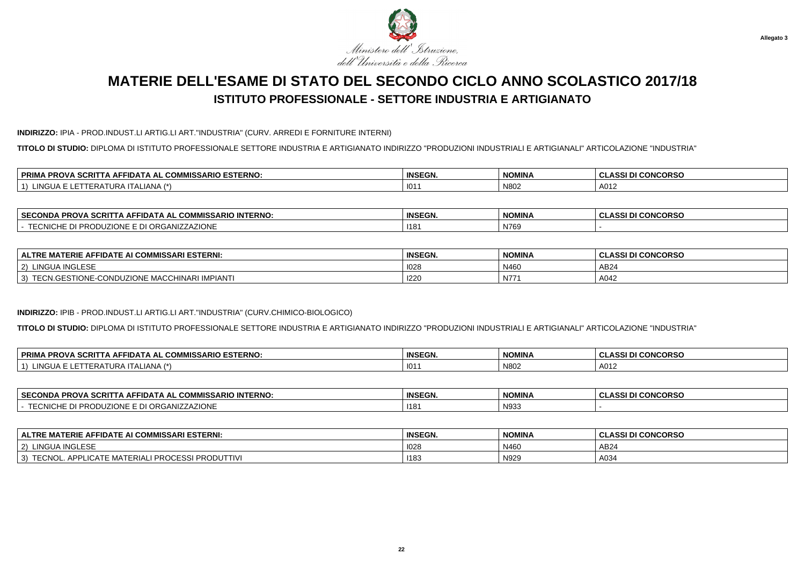

### **INDIRIZZO:** IPIA - PROD.INDUST.LI ARTIG.LI ART."INDUSTRIA" (CURV. ARREDI E FORNITURE INTERNI)

**TITOLO DI STUDIO:** DIPLOMA DI ISTITUTO PROFESSIONALE SETTORE INDUSTRIA E ARTIGIANATO INDIRIZZO "PRODUZIONI INDUSTRIALI E ARTIGIANALI" ARTICOLAZIONE "INDUSTRIA"

| . COMMISSARIO ESTERNO:<br><b>SCRI</b><br><b>DDIM</b><br>. AFFIDAT<br><b>PRO.</b><br>AL. | <b>INSEGN.</b> | <b>NOMINA</b> | <b>I CONCORSO</b><br><b>CLASSI</b> |
|-----------------------------------------------------------------------------------------|----------------|---------------|------------------------------------|
| $1 \wedge 7 \times$<br>101<br>$\mathbf{H}$<br>ALIANA<br>"RH 1<br>I J N A                | 101            | N80           | A012                               |

| <b>SECC</b><br><b>INTERNO:</b><br>$\sim$<br>. COMMISSARIO<br><b>PROVA</b><br><b>ECONDA</b><br>-IDATA AL<br>-SCRIT | <b>INSEGN.</b> | <b>NOMINA</b> | <b>CONCORSO</b><br>.<br>. <b>.</b> |
|-------------------------------------------------------------------------------------------------------------------|----------------|---------------|------------------------------------|
| <b>RGANIZZAZIONE</b><br>~<br>non.<br>UNG<br>. INVLUATION LE DIT                                                   | 118'           | N769          |                                    |

| <b>FIDATE AI COMMISSARI ESTERNI:</b><br><b>ERIE AI</b><br>$\sim$<br><b>ALTRE</b><br>. A E<br>. .   | <b>INSEGN.</b> | <b>NOMINA</b> | <b>I CONCORSO</b><br>. ASSI . |
|----------------------------------------------------------------------------------------------------|----------------|---------------|-------------------------------|
| A INGLESE<br>$ 2\rangle$<br>LINGU <sub>r</sub>                                                     | 1028           | N460          | AB24                          |
| -CONDUZIONE<br><b>GESTIONE-U</b><br>1710117.1<br>HINARI IMPIANTI<br>MACCH<br>3)<br>$1N +$<br>LUN.O | 1220           | N77           | A042                          |

#### **INDIRIZZO:** IPIB - PROD.INDUST.LI ARTIG.LI ART."INDUSTRIA" (CURV.CHIMICO-BIOLOGICO)

**TITOLO DI STUDIO:** DIPLOMA DI ISTITUTO PROFESSIONALE SETTORE INDUSTRIA E ARTIGIANATO INDIRIZZO "PRODUZIONI INDUSTRIALI E ARTIGIANALI" ARTICOLAZIONE "INDUSTRIA"

| <b>PRIM</b><br>00017<br>COMMICS.<br><b>ESTERNO</b><br>IISSARIO<br><b>PROVA</b><br><b>SEFIDA.</b><br>-<br><u>дн</u><br>SURII<br>www<br>. . | <b>INSEGN.</b> | <b>NOMINA</b> | <b>CONCORSC</b><br>$\sim$<br>י המ<br>133 U<br>ື |
|-------------------------------------------------------------------------------------------------------------------------------------------|----------------|---------------|-------------------------------------------------|
| INGL.<br>$\rightarrow$<br>⊢⊷<br>URA<br><u>д</u><br>AIVA<br>$\sqrt{ }$                                                                     | 101            | N802          | $\Lambda$ $\Lambda$<br><u>ди</u><br><b>AVIZ</b> |

| <b>SECONDA</b><br><b>PROVA SCRI.</b><br>COMMISSARIO INTERNO:<br>-IDATA AL<br>. IA AF' | <b>INSEGN.</b> | <b>NOMINA</b> | <b>CONCORSO</b><br>$\cdots$<br>w<br>u<br>--- |
|---------------------------------------------------------------------------------------|----------------|---------------|----------------------------------------------|
| <b>ZIONE</b><br>" JUUZIONE E DI ORG.<br>∖NI∠∠A∠<br><b>HEUNIUL</b><br>N<br>-           | 118'           | N93           |                                              |

| <b>ALTRE MATERIE AFFIDATE AI COMMISSARI ESTERNI:</b>       | <b>INSEGN.</b> | <b>NOMINA</b> | <b>CLASSI DI CONCORSO</b> |
|------------------------------------------------------------|----------------|---------------|---------------------------|
| LINGUA INGLESE<br>2)                                       | 1028           | N460          | AB24                      |
| TECNOL. APPLICATE MATERIALI<br>CESSI PRODUTTIVI<br>' PROCI | 1183           | N929          | A034                      |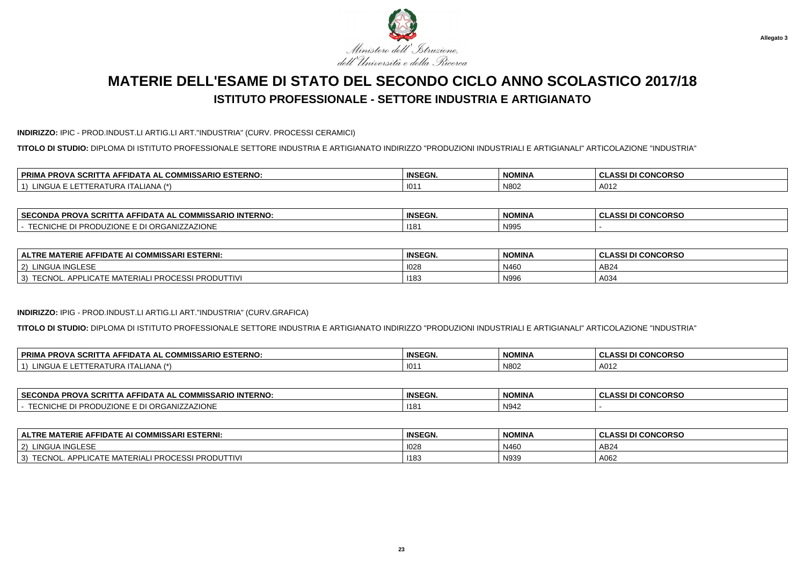

### **INDIRIZZO:** IPIC - PROD.INDUST.LI ARTIG.LI ART."INDUSTRIA" (CURV. PROCESSI CERAMICI)

**TITOLO DI STUDIO:** DIPLOMA DI ISTITUTO PROFESSIONALE SETTORE INDUSTRIA E ARTIGIANATO INDIRIZZO "PRODUZIONI INDUSTRIALI E ARTIGIANALI" ARTICOLAZIONE "INDUSTRIA"

| <b>IIISSARIO ESTERNO.</b><br>$\sim$<br>-----<br>∣ PRIMA<br>דוטי<br><b>AFFIDA</b><br>۱ AL<br>. uOm<br>. JURII<br>אשי | <b>INSEGN.</b> | <b>NOMINA</b> | <b>I CONCORSO</b><br><b>CLASSID.</b> |
|---------------------------------------------------------------------------------------------------------------------|----------------|---------------|--------------------------------------|
| 11121<br><b>LALIANA</b><br>NGUA<br>$\mathbf{A}$<br>ERP<br>IJKP                                                      | 101            | N80           | A012                                 |

| <b>SECC</b><br><b>INTERNO:</b><br>$\sim$<br>. COMMISSARIO<br><b>PROVA</b><br><b>ECONDA</b><br>-IDATA AL<br>-SCRIT | <b>INSEGN.</b> | <b>NOMINA</b>       | <b>CONCORSO</b><br>.<br>. <b>.</b> |
|-------------------------------------------------------------------------------------------------------------------|----------------|---------------------|------------------------------------|
| <b>RGANIZZAZIONE</b><br>~<br>non.<br>UNG<br>. INVLUATION LE DIT                                                   | 118'           | <b>N995</b><br>1333 |                                    |

| <b>FIDATE AI COMMISSARI ESTERNI:</b><br>ERIE AI<br>$\sim$<br><b>ALTRE</b><br>^⊢<br>. .<br>шm | <b>INSEGN.</b> | <b>NOMINA</b> | <b>I CONCORSO</b><br>$\Delta$ and $\Delta$ |
|----------------------------------------------------------------------------------------------|----------------|---------------|--------------------------------------------|
| A INGLESE<br>$ 2\rangle$<br><b>LINGUA</b>                                                    | 1028           | N460          | AB24                                       |
| I PRODUTTIVI<br><b>PROCE</b><br>APPI<br>3)<br>rec'<br>MA<br>EUNU                             | 1183           | N996          | A034                                       |

#### **INDIRIZZO:** IPIG - PROD.INDUST.LI ARTIG.LI ART."INDUSTRIA" (CURV.GRAFICA)

**TITOLO DI STUDIO:** DIPLOMA DI ISTITUTO PROFESSIONALE SETTORE INDUSTRIA E ARTIGIANATO INDIRIZZO "PRODUZIONI INDUSTRIALI E ARTIGIANALI" ARTICOLAZIONE "INDUSTRIA"

| <b>PRIM</b><br>. SCRIT<br><i>I</i> IISSARIO ESTERNO:<br>$-4$ MICCAL.<br><b>PROVA</b><br>`FFIDA L<br>A AL<br><b>UUNIV</b> | <b>INSEGN.</b> | <b>NOMINA</b> | <b>CONCORSO</b><br>$\sim$<br>$\sim$<br>333 U<br>◡ |
|--------------------------------------------------------------------------------------------------------------------------|----------------|---------------|---------------------------------------------------|
| LINGUA.<br>ANA<br>$\lambda$<br>--<br>1 URA<br><u> ப</u><br>$-DP$<br>$\sqrt{ }$<br>. .                                    | 101            | N802          | A012                                              |

| <b>SECONDA</b><br><b>PROVA SCRI.</b><br>COMMISSARIO INTERNO:<br>-IDATA AL<br>. IA AF' | <b>INSEGN.</b> | <b>NOMINA</b> | <b>CONCORSO</b><br>$\cdots$<br>w<br>u<br>--- |
|---------------------------------------------------------------------------------------|----------------|---------------|----------------------------------------------|
| <b>ZIONE</b><br>" JUUZIONE E DI ORG.<br>∖NI∠∠A∠<br><b>HEUNIUL</b><br>N<br>-           | 118'           | N942          |                                              |

| <b>ALTRE MATERIE AFFIDATE AI COMMISSARI ESTERNI:</b>       | <b>INSEGN.</b> | <b>NOMINA</b> | <b>CLASSI DI CONCORSO</b> |
|------------------------------------------------------------|----------------|---------------|---------------------------|
| LINGUA INGLESE<br>2)                                       | 1028           | N460          | AB24                      |
| TECNOL. APPLICATE MATERIALI<br>CESSI PRODUTTIVI<br>' PROCI | 1183           | N939          | A062                      |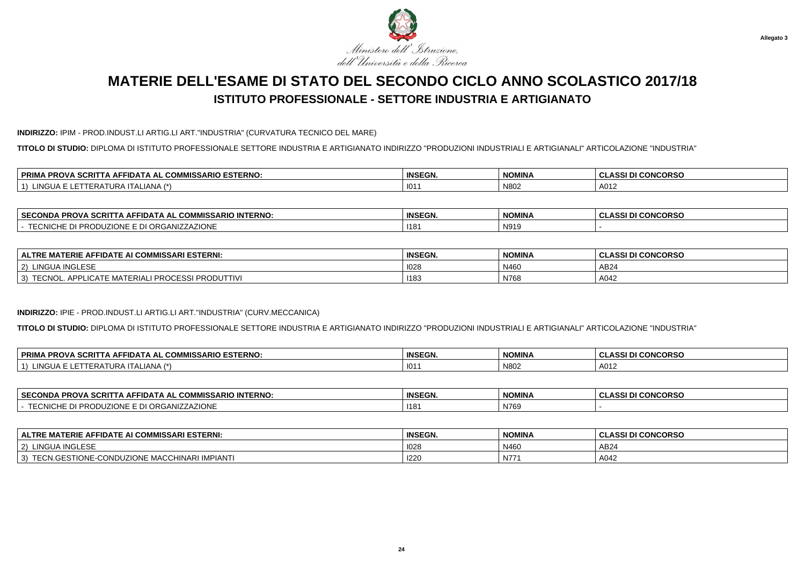

### **INDIRIZZO:** IPIM - PROD.INDUST.LI ARTIG.LI ART."INDUSTRIA" (CURVATURA TECNICO DEL MARE)

**TITOLO DI STUDIO:** DIPLOMA DI ISTITUTO PROFESSIONALE SETTORE INDUSTRIA E ARTIGIANATO INDIRIZZO "PRODUZIONI INDUSTRIALI E ARTIGIANALI" ARTICOLAZIONE "INDUSTRIA"

| <b>IIISSARIO ESTERNO.</b><br>$\sim$<br>-----<br>∣ PRIMA<br>דוטי<br><b>AFFIDA</b><br>۱ AL<br>. uOm<br>. JURII<br>אשי | <b>INSEGN.</b> | <b>NOMINA</b> | <b>I CONCORSO</b><br><b>CLASSID.</b> |
|---------------------------------------------------------------------------------------------------------------------|----------------|---------------|--------------------------------------|
| 11121<br><b>LALIANA</b><br>NGUA<br>$\mathbf{A}$<br>ERP<br>IJKP                                                      | 101            | N80           | A012                                 |

| <b>SECC</b><br><b>INTERNO:</b><br>$\sim$<br>. COMMISSARIO<br><b>PROVA</b><br><b>ECONDA</b><br>-IDATA AL<br>SCRI | <b>INSEGN.</b> | <b>NOMINA</b> | <b>CONCORSO</b><br>.<br>. <b>.</b> |
|-----------------------------------------------------------------------------------------------------------------|----------------|---------------|------------------------------------|
| <b>RGANIZZAZIONE</b><br>~<br>non.<br>UNG<br>. INVLUATION LE DIT                                                 | 118'           | N919          |                                    |

| <b>FIDATE AI COMMISSARI ESTERNI:</b><br>ERIE AI<br>$\sim$<br><b>ALTRE</b><br>^⊢<br>. .<br>шm | <b>INSEGN.</b> | <b>NOMINA</b> | <b>I CONCORSO</b><br>$\Delta$ and $\Delta$ |
|----------------------------------------------------------------------------------------------|----------------|---------------|--------------------------------------------|
| A INGLESE<br>$ 2\rangle$<br><b>LINGUA</b>                                                    | 1028           | N460          | AB24                                       |
| I PRODUTTIVI<br><b>PROCE</b><br>APPI<br>3)<br>-cc'<br>MA<br>=UNU<br>_iUA 1 =                 | 1183           | N768          | A042                                       |

#### **INDIRIZZO:** IPIE - PROD.INDUST.LI ARTIG.LI ART."INDUSTRIA" (CURV.MECCANICA)

**TITOLO DI STUDIO:** DIPLOMA DI ISTITUTO PROFESSIONALE SETTORE INDUSTRIA E ARTIGIANATO INDIRIZZO "PRODUZIONI INDUSTRIALI E ARTIGIANALI" ARTICOLAZIONE "INDUSTRIA"

| <b>PRIM</b><br>. SCRIT<br><i>I</i> IISSARIO ESTERNO:<br>$-4$ MICCAL.<br><b>PROVA</b><br>`FFIDA L<br>A AL<br><b>UUNIV</b> | <b>INSEGN.</b> | <b>NOMINA</b> | <b>CONCORSO</b><br>$\sim$<br>$\sim$<br>333 U<br>◡ |
|--------------------------------------------------------------------------------------------------------------------------|----------------|---------------|---------------------------------------------------|
| LINGUA.<br>ANA<br>$\lambda$<br>--<br>1 URA<br><u> ப</u><br>$-DP$<br>$\sqrt{ }$<br>. .                                    | 101            | N802          | A012                                              |

| <b>SECONDA</b><br><b>PROVA SCRI.</b><br>COMMISSARIO INTERNO:<br>-IDATA AL<br>. IA AF' | <b>INSEGN.</b> | <b>NOMINA</b> | <b>CONCORSO</b><br>$\cdots$<br>w<br>u<br>--- |
|---------------------------------------------------------------------------------------|----------------|---------------|----------------------------------------------|
| <b>ZIONE</b><br>JUUZIONE E DI ORG.<br><b>NIZZAZ</b><br><b>HEUNIUL</b><br>N<br>--      | 118'           | N769          |                                              |

| <b>ALTRE MATERIE AFFIDATE AI COMMISSARI ESTERNI:</b>         | <b>INSEGN.</b> | <b>NOMINA</b> | ASSI DI CONCORSO |
|--------------------------------------------------------------|----------------|---------------|------------------|
| LINGUA INGLESE<br>$\sim$<br>-2)                              | 1028           | N460          | AB24             |
| TECN.GESTIONE-CONDUZIONE I<br>E MACCHINARI<br><b>IMPIANT</b> | 1220           | <b>N77</b>    | A042             |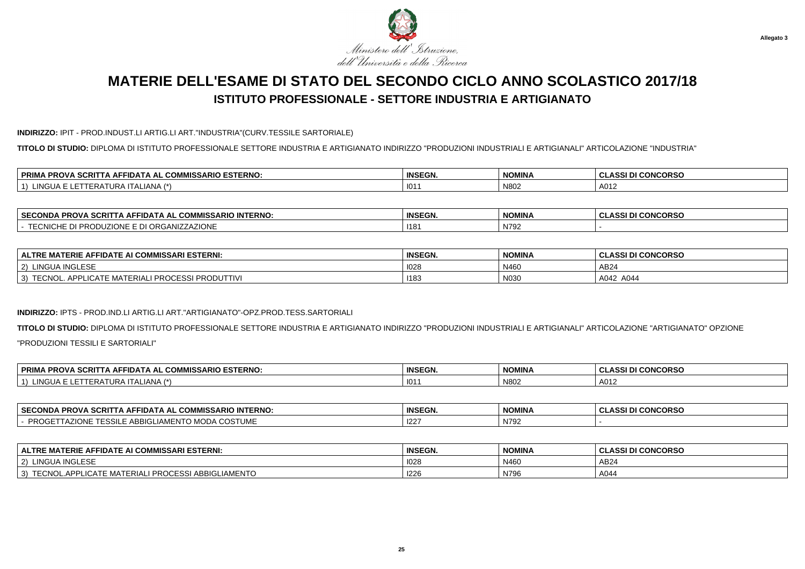

### **INDIRIZZO:** IPIT - PROD.INDUST.LI ARTIG.LI ART."INDUSTRIA"(CURV.TESSILE SARTORIALE)

**TITOLO DI STUDIO:** DIPLOMA DI ISTITUTO PROFESSIONALE SETTORE INDUSTRIA E ARTIGIANATO INDIRIZZO "PRODUZIONI INDUSTRIALI E ARTIGIANALI" ARTICOLAZIONE "INDUSTRIA"

| <i>I</i> IISSARIO ESTERNO:<br>∣ PRIMA<br>$\sim$<br>. SCRIT<br>IA AL COM<br><b>AFFIDA</b><br>-RUV. | <b>INSEGN.</b> | <b>NOMINA</b> | I CONCORSO<br><b>CLASSI</b> |
|---------------------------------------------------------------------------------------------------|----------------|---------------|-----------------------------|
| $\sim$<br>. ALIANA (*`<br>.NGUA<br>$\mathbf{A}$<br>ERA<br>URA                                     | 101            | N80           | A012                        |

| <b>SECONI</b><br><b>INTERNO:</b><br><b>SCRI</b><br>__ JUMMISSARIO INTET<br><b>PROVA</b><br>ECONDA<br>FIDATA AL<br>AFI | <b>INSEGN.</b> | <b>NOMINA</b>               | <b>CONCORSO</b><br>$\sim$ $\sim$ $\sim$<br>uladai |
|-----------------------------------------------------------------------------------------------------------------------|----------------|-----------------------------|---------------------------------------------------|
| I ORGANIZZAZIONE<br>opc<br>້ຕ້<br>, INUDULIUINL L DI '                                                                | 118            | <b>N792</b><br>. <i>. .</i> |                                                   |

| <b>FIDATE AI COMMISSARI ESTERNI:</b><br>'ERIE AI<br><b>AE</b><br><b>ALTRE</b><br>MA                      | <b>INSEGN.</b> | <b>NOMINA</b> | <b>I CONCORSO</b><br><b>ASSIT</b><br>. GLAJJI DI |
|----------------------------------------------------------------------------------------------------------|----------------|---------------|--------------------------------------------------|
| A INGLESE<br>$ 2\rangle$<br>LINGUA                                                                       | 1028           | N460          | AB24                                             |
| <b>I PRODUTTIVI</b><br><b>PROCE</b><br>ESSI<br>APPI<br><b>TE MATERIAL</b><br>3)<br>EUNU<br><b>LIUAIF</b> | 1183           | N030          | A042<br>A044                                     |

#### **INDIRIZZO:** IPTS - PROD.IND.LI ARTIG.LI ART."ARTIGIANATO"-OPZ.PROD.TESS.SARTORIALI

**TITOLO DI STUDIO:** DIPLOMA DI ISTITUTO PROFESSIONALE SETTORE INDUSTRIA E ARTIGIANATO INDIRIZZO "PRODUZIONI INDUSTRIALI E ARTIGIANALI" ARTICOLAZIONE "ARTIGIANATO" OPZIONE"PRODUZIONI TESSILI E SARTORIALI"

| <b>PRIM</b><br>. COMMISSARIO ESTERNO:<br><b>PROVA</b><br><b>FIDA</b><br>DП<br>. AL<br>A<br>ouni | <b>INSEGN.</b> | NOMINA | <b>I CONCORSO</b><br><b>DI</b><br>ula. |
|-------------------------------------------------------------------------------------------------|----------------|--------|----------------------------------------|
| <b>NGLIA</b><br>$\mathbf{1} \mathbf{A}$ $\mathbf{A}$<br>1 E R /<br><b>TALIANA</b><br>. .<br>UNA | 101            | N802   | A012                                   |

| <b>∣ SECONDA</b><br><b>INTERNO.</b><br><b>SCRI</b><br><b>PROVA</b><br>. COMMISSARIO<br>-IDATA AL<br>$\blacksquare$                                                                                                                                                                                                                                                                                                                                                                                    | <b>INSEGN.</b> | <b>NOMINA</b><br><b>NUMINA</b> | <b>CONCORSO</b><br>7527<br>וככת |
|-------------------------------------------------------------------------------------------------------------------------------------------------------------------------------------------------------------------------------------------------------------------------------------------------------------------------------------------------------------------------------------------------------------------------------------------------------------------------------------------------------|----------------|--------------------------------|---------------------------------|
| $\bigcap \bigcap T$<br>$\mathbf{1}$ $\mathbf{1}$ $\mathbf{1}$ $\mathbf{1}$ $\mathbf{1}$ $\mathbf{1}$ $\mathbf{1}$ $\mathbf{1}$ $\mathbf{1}$ $\mathbf{1}$ $\mathbf{1}$ $\mathbf{1}$ $\mathbf{1}$ $\mathbf{1}$ $\mathbf{1}$ $\mathbf{1}$ $\mathbf{1}$ $\mathbf{1}$ $\mathbf{1}$ $\mathbf{1}$ $\mathbf{1}$ $\mathbf{1}$ $\mathbf{1}$ $\mathbf{1}$ $\mathbf{$<br>$\sim$<br><b>DDOC</b><br>ıд<br>$\mathbf{H}$ is a set of $\mathbf{H}$<br>′BIGL.<br>∟יווי י<br>. הכנוכ-<br>.JJIL<br>שוט ו כי<br>UU.<br>. . | $ 122\rangle$  | N79                            |                                 |

| <b>ALTRE MATERIE AFFIDATE AI COMMISSARI ESTERNI:</b>                                        | <b>INSEGN.</b> | <b>NOMINA</b> | <b>CLASSI DI CONCORSO</b> |
|---------------------------------------------------------------------------------------------|----------------|---------------|---------------------------|
| LINGUA INGLESE<br>$^{\prime}$ 2)                                                            | 1028           | N460          | AB24                      |
| <b>IIGLIAMENTO</b><br>LI PROCESS<br>3)<br><b>TECNIOL</b><br>NOL.APPLICATE MATERIAL:<br>ABB. | 1226           | N796          | A044                      |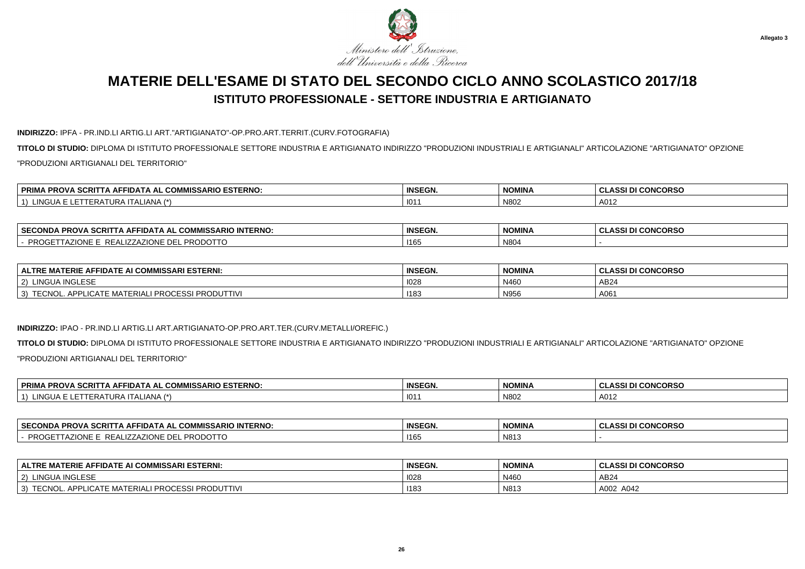

**Allegato 3**

# **MATERIE DELL'ESAME DI STATO DEL SECONDO CICLO ANNO SCOLASTICO 2017/18ISTITUTO PROFESSIONALE - SETTORE INDUSTRIA E ARTIGIANATO**

### **INDIRIZZO:** IPFA - PR.IND.LI ARTIG.LI ART."ARTIGIANATO"-OP.PRO.ART.TERRIT.(CURV.FOTOGRAFIA)

**TITOLO DI STUDIO:** DIPLOMA DI ISTITUTO PROFESSIONALE SETTORE INDUSTRIA E ARTIGIANATO INDIRIZZO "PRODUZIONI INDUSTRIALI E ARTIGIANALI" ARTICOLAZIONE "ARTIGIANATO" OPZIONE"PRODUZIONI ARTIGIANALI DEL TERRITORIO"

| . COMMISSARIO ESTERNO:<br><b>PRIMA</b><br>\ SCRITTA AF<br><b>PROVA !</b><br>` AFFIDA .<br>IA AL | <b>INSEGN.</b> | NOMINA | <b>I CONCORSO</b><br><sup>i</sup> CLASSI L. |
|-------------------------------------------------------------------------------------------------|----------------|--------|---------------------------------------------|
| INGI<br>_IANA.                                                                                  | 101            | N80    | A012                                        |

| <b>FERNO</b><br><b>SECONDA</b><br>A SCRIT<br>$\Lambda$ AFFIDAT<br>$\sim$ $\sim$ $\sim$ $\sim$<br>$\sim$ ADIO INT<br>$\mathbf{H}$<br>. <i>.</i> .<br><b>UUMN</b><br><b>FRUVA</b><br>יכטו | <b>INSEGN.</b> | <b>NOMINA</b> | <b>CONCORSC</b><br><b>CLASSI</b> |
|-----------------------------------------------------------------------------------------------------------------------------------------------------------------------------------------|----------------|---------------|----------------------------------|
| <b>DDODOTT</b><br>. <del>.</del><br>--<br>$\alpha$ zionit<br>PRO<br>. .<br>. .<br>nuuu                                                                                                  | $+116^\circ$   | N804          |                                  |

| ∣ ALTRE MATERIE AFFIDATE AI COMMISSARI ESTERNI:                                                | <b>INSEGN.</b> | <b>NOMINA</b>        | <b>I CONCORSO</b><br>.001E<br>833 U<br>◡└ |
|------------------------------------------------------------------------------------------------|----------------|----------------------|-------------------------------------------|
| JA INGLESE<br>(2)<br>' INGUA L                                                                 | 1028           | N460                 | AB24                                      |
| <b>PRODUTTIVI</b><br><b>TECNOL</b><br><b>PROC</b><br>PLICATE MATERIALI<br>$\sim$ $\sim$ $\sim$ | 1183           | $\mathbf{A}$<br>N956 | A06'                                      |

#### **INDIRIZZO:** IPAO - PR.IND.LI ARTIG.LI ART.ARTIGIANATO-OP.PRO.ART.TER.(CURV.METALLI/OREFIC.)

**TITOLO DI STUDIO:** DIPLOMA DI ISTITUTO PROFESSIONALE SETTORE INDUSTRIA E ARTIGIANATO INDIRIZZO "PRODUZIONI INDUSTRIALI E ARTIGIANALI" ARTICOLAZIONE "ARTIGIANATO" OPZIONE"PRODUZIONI ARTIGIANALI DEL TERRITORIO"

| L COMMISSARIO ESTERNO:<br>ላ SCRITTA AFFIDATA AL ′<br><b>PRIMA PROVA</b> | <b>INSEGN.</b> | <b>NOMINA</b> | <b>I CONCORSO</b><br><b>CLASSI</b> |
|-------------------------------------------------------------------------|----------------|---------------|------------------------------------|
| LINGUA E<br>. ALIANA (*`<br>AIURA<br>.<br>.                             | 101            | N802          | A012                               |

| <sup>⊥</sup> SECOND <sup></sup><br><b>INTERNO</b><br><b></b><br>COMMISSARIO<br>/ והסם<br>II) A I A AI<br>. JURIL.<br>Nija<br>FRUV | <b>INSEGN</b> | <b>NOMINA</b> | <b>I CONCORSO</b><br><b>CLASS</b> |
|-----------------------------------------------------------------------------------------------------------------------------------|---------------|---------------|-----------------------------------|
| ppoc<br>.<br>$-$ DLA.<br>…∪INF<br>.<br>NUU<br>ъ.                                                                                  | 116'          | N813          |                                   |

| <b>FIDATE AI COMMISSARI ESTERNI:</b><br>. MATERIE AFF<br><b>ALTRE</b>                                  | <b>INSEGN.</b> | <b>NOMINA</b> | SI DI CONCORSO<br><b>CLASSI</b> |
|--------------------------------------------------------------------------------------------------------|----------------|---------------|---------------------------------|
| <b>INGLESE</b><br>LINGUA<br>່າ                                                                         | 1028           | N460          | AB24                            |
| <b>DRAD</b><br><b>TECNOL, AI</b><br>PRO <sub>C</sub><br>MATERIALI<br>' 'TTIVI<br>RODU<br><b>LIUAIF</b> | 1183           | N813          | A002 A042                       |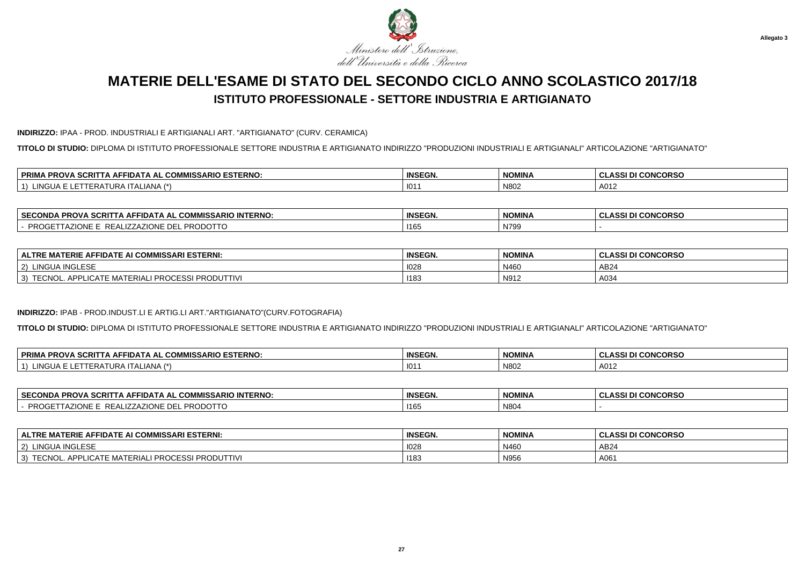

#### **INDIRIZZO:** IPAA - PROD. INDUSTRIALI E ARTIGIANALI ART. "ARTIGIANATO" (CURV. CERAMICA)

**TITOLO DI STUDIO:** DIPLOMA DI ISTITUTO PROFESSIONALE SETTORE INDUSTRIA E ARTIGIANATO INDIRIZZO "PRODUZIONI INDUSTRIALI E ARTIGIANALI" ARTICOLAZIONE "ARTIGIANATO"

| . COMMISSARIO ESTERNO:<br><b>PRIMA</b><br>. SCRIT<br><b>PROVA</b><br>FIDA<br>$\mathbf{r}$<br>1 A A F | <b>INSEGN.</b> | <b>NOMINA</b> | <b>I CONCORSO</b><br>ULASSI DI ∩∕ |
|------------------------------------------------------------------------------------------------------|----------------|---------------|-----------------------------------|
| ING<br>- 12<br><b>AIVA</b>                                                                           | 101            | N80.          | A012                              |

| <b>SECC</b><br><b>INTERNO</b><br>$\sim$ 0.0 $\sim$<br>. COMMISSARIO<br><b>PROVA</b><br>FIDATA AL<br><b>ECONDA</b><br>. SCRP<br>AFI | <b>INSEGN.</b> | NOMINI/<br>NOMINA | <b>CONCORSO</b><br>uladai |
|------------------------------------------------------------------------------------------------------------------------------------|----------------|-------------------|---------------------------|
| ----<br>AZIONE DE<br><b>PROJ</b><br>REA!<br>RODOTTO<br>JNE<br>ᄔᄕ                                                                   | 116            | N799              |                           |

| E MATERIE AFFIDATE AI COMMISSARI ESTERNI:<br><b>ALTRE</b>                   | <b>INSEGN.</b> | <b>NOMINA</b> | <b>II CONCORSO</b><br>CLASSI DI C |
|-----------------------------------------------------------------------------|----------------|---------------|-----------------------------------|
| <b>LINGUA INGLESE</b><br>(2)                                                | 1028           | N460          | AB24                              |
| LI PROCESSI PRODUTTIVI<br><b>ADD</b><br>TTCMO<br>LICATE.<br>3)<br>: MATERIA | 1183           | N912          | A034                              |

#### **INDIRIZZO:** IPAB - PROD.INDUST.LI E ARTIG.LI ART."ARTIGIANATO"(CURV.FOTOGRAFIA)

**TITOLO DI STUDIO:** DIPLOMA DI ISTITUTO PROFESSIONALE SETTORE INDUSTRIA E ARTIGIANATO INDIRIZZO "PRODUZIONI INDUSTRIALI E ARTIGIANALI" ARTICOLAZIONE "ARTIGIANATO"

| <b>PRIM</b><br><b>ESTERNO:</b><br>$\sim$<br>$\sim$<br><b>JSARIC</b><br>SCRIT<br><b>ROVA</b><br>∙IDA<br>٠A۱<br>. д.<br>u | <b>INSEGN.</b> | <b>NOMINA</b> | <b>CONCORSO</b><br>$\sim$<br>0.001<br>. GLAJJI D. |
|-------------------------------------------------------------------------------------------------------------------------|----------------|---------------|---------------------------------------------------|
| 'ANA<br>.INGL<br>- ⊨<br>.<br>.                                                                                          | 101            | N802          | A012                                              |

| <b>SECONDA</b><br><b>SCRITTA AFFIDATA AL UL</b><br><b>INTERNO.</b><br>A PROV<br><b>AL COMMISSARIO</b><br>៴៳៵៶ | <b>INSEGN.</b> | NOMINA | <b>CONCORSO</b><br>.<br>133 U<br>u |
|---------------------------------------------------------------------------------------------------------------|----------------|--------|------------------------------------|
| PROGF<br><b>710 N IF</b><br>ALIZZAZIONE DE<br>REAL'<br>YJI I G<br>ZIUNE E<br>$\overline{A}$<br>www.           | 1165           | N804   |                                    |

| <b>ALTRE MATERIE AFFIDATE AI COMMISSARI ESTERNI:</b>              | <b>INSEGN.</b> | <b>NOMINA</b> | <b>CLASSI DI CONCORSO</b> |
|-------------------------------------------------------------------|----------------|---------------|---------------------------|
| LINGUA INGLESE<br>2)                                              | 1028           | N460          | AB24                      |
| TECNOL<br>CESSI PRODUTTIVI<br>' PROCI<br>L. APPLICATE MATERIALI ' | 1183           | N956          | A06                       |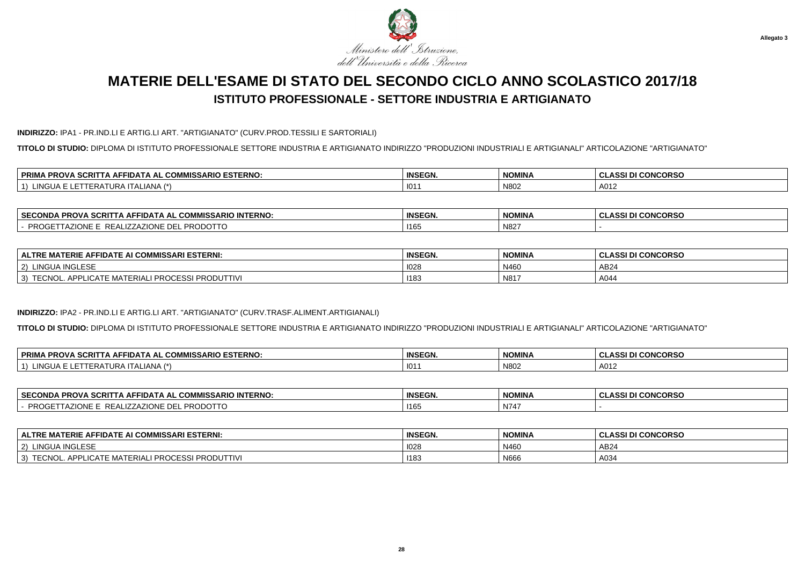

### **INDIRIZZO:** IPA1 - PR.IND.LI E ARTIG.LI ART. "ARTIGIANATO" (CURV.PROD.TESSILI E SARTORIALI)

**TITOLO DI STUDIO:** DIPLOMA DI ISTITUTO PROFESSIONALE SETTORE INDUSTRIA E ARTIGIANATO INDIRIZZO "PRODUZIONI INDUSTRIALI E ARTIGIANALI" ARTICOLAZIONE "ARTIGIANATO"

| <b>ISSARIO ESTERNO.</b><br>$\sim$<br>' PRIMA.<br>SCRIT<br>→ AI :<br><b>AFFIDA</b><br>ັບ∪™<br>'NUV<br>. | <b>INSEGN.</b> | <b>NOMINA</b> | <b>I CONCORSO</b><br><b>CLASSI</b> |
|--------------------------------------------------------------------------------------------------------|----------------|---------------|------------------------------------|
| 11121<br>ALIANA /*`<br>.NGUA<br>$\mathbf{A}$<br>URA<br>CRA                                             | 101            | N80           | A012                               |

| <b>SECONDA</b><br><b>IISSARIO INTERNO:</b><br><b>PROVA SCRIT</b><br><b>CON</b><br>$\ldots$ A AFFIDATA AL $\sim$<br>ושט בא       | <b>INSEGN.</b> | <b>NOMINA</b> | <b>CONCORSO</b><br>$\sim$<br>uladai |
|---------------------------------------------------------------------------------------------------------------------------------|----------------|---------------|-------------------------------------|
| ומחח<br>21011E<br>…∟ZAZIONE DEL PE<br><b>PRO</b><br>2 E ∆ I<br>RODOTTO<br>LIUNE.<br>$\overline{\phantom{a}}$<br>. .<br>$\cdots$ | 1165           | N827          |                                     |

| <b>AI COMMISSARI ESTERNI:</b><br>FIDATE AI<br>ERIE AI<br>$\sim$<br><b>ALTRE</b><br>^⊢<br>. .<br>шm | <b>INSEGN.</b> | <b>NOMINA</b> | <b>I CONCORSO</b><br>. ASSI . |
|----------------------------------------------------------------------------------------------------|----------------|---------------|-------------------------------|
| A INGLESE<br>$ 2\rangle$<br>LINGU <sub>r</sub>                                                     | 1028           | N460          | AB24                          |
| I PRODUTTIVI<br><b>PROCE</b><br>APPI<br>3)<br>rec'<br>MA<br>EUNU                                   | 1183           | N817          | A044                          |

#### **INDIRIZZO:** IPA2 - PR.IND.LI E ARTIG.LI ART. "ARTIGIANATO" (CURV.TRASF.ALIMENT.ARTIGIANALI)

**TITOLO DI STUDIO:** DIPLOMA DI ISTITUTO PROFESSIONALE SETTORE INDUSTRIA E ARTIGIANATO INDIRIZZO "PRODUZIONI INDUSTRIALI E ARTIGIANALI" ARTICOLAZIONE "ARTIGIANATO"

| <b>PRIMA</b><br><b>PIO ESTERNO.</b><br>$\sim$<br>$P^{\text{max}}$<br>$\sim$<br><b>"ISSARI-</b><br>. SCRITTA AFF<br><b>PROVA</b><br><b>HIDAIA</b><br>AAI<br>w | <b>INSEGN.</b> | NOMINA | <b>II CONCORSO</b><br>$\sim$<br>A CCI P<br>- GLAJJI DI |
|--------------------------------------------------------------------------------------------------------------------------------------------------------------|----------------|--------|--------------------------------------------------------|
| _INGU<br>√∟IANA<br>∴A ITA⊑<br>.<br>IFRt<br>1. שנא                                                                                                            | 101            | N802   | A012                                                   |

| <b>SECONDA</b><br><b>SCRITTA AFFIDATA AL UL</b><br><b>INTERNO.</b><br><b>AL COMMISSARIO INT</b><br>rru i<br>៴៳៵៶   | <b>INSEGN.</b> | NOMINA | <b>CONCORSO</b><br>.<br>133 U<br>u |
|--------------------------------------------------------------------------------------------------------------------|----------------|--------|------------------------------------|
| <b>PROGF</b><br><b>TIONIE</b><br>ALIZZAZIONE DE<br>REAL<br>YJI I G<br>ZIUNE I<br>$\overline{A}$<br>11 U U U<br>. . | 1165           | N747   |                                    |

| <b>ALTRE MATERIE AFFIDATE AI COMMISSARI ESTERNI:</b>       | <b>INSEGN.</b> | <b>NOMINA</b> | <b>CLASSI DI CONCORSO</b> |
|------------------------------------------------------------|----------------|---------------|---------------------------|
| LINGUA INGLESE<br>2)                                       | 1028           | N460          | AB24                      |
| TECNOL. APPLICATE MATERIALI<br>CESSI PRODUTTIVI<br>' PROCI | 1183           | N666          | A034                      |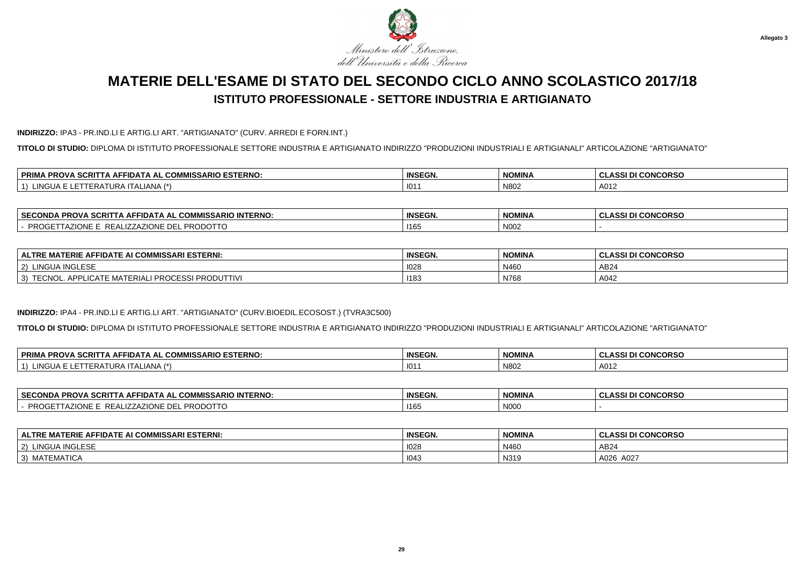

### **INDIRIZZO:** IPA3 - PR.IND.LI E ARTIG.LI ART. "ARTIGIANATO" (CURV. ARREDI E FORN.INT.)

**TITOLO DI STUDIO:** DIPLOMA DI ISTITUTO PROFESSIONALE SETTORE INDUSTRIA E ARTIGIANATO INDIRIZZO "PRODUZIONI INDUSTRIALI E ARTIGIANALI" ARTICOLAZIONE "ARTIGIANATO"

| 1.514.52<br><b>ESTERNO</b><br>$\bigcap_{n=1}^{n}$<br><b>PRIMA</b><br>. SCRIT<br><b>PROVA</b><br>FIDA <sup>.</sup><br>^ ~<br>. UUMMISSARIU<br>IA AD | <b>INSEGN.</b> | <b>NOMINA</b> | <b>I CONCORSO</b><br>ULASSI DI ∩1 |
|----------------------------------------------------------------------------------------------------------------------------------------------------|----------------|---------------|-----------------------------------|
| INC<br>ALIANA<br>___                                                                                                                               | 101            | N80           | A012                              |

| <b>SECONDA</b><br><b>IISSARIO INTERNO:</b><br><b>PROVA SCRIT</b><br><b>CON</b><br>$\ldots$ A AFFIDATA AL $\sim$<br>AL GUI       | <b>INSEGN.</b> | <b>NOMINA</b> | <b>CONCORSO</b><br>$\sim$<br>uladai |
|---------------------------------------------------------------------------------------------------------------------------------|----------------|---------------|-------------------------------------|
| ומחח<br>21011E<br>…∟ZAZIONE DEL PE<br><b>PRO</b><br>ו ∆ = כ<br>RODOTTO<br>LIUNE.<br>$\overline{\phantom{a}}$<br>. .<br>$\cdots$ | 1165           | N002          |                                     |

| E AI COMMISSARI ESTERNI:<br><b>AFFIDATE</b><br>ERIE<br><b>ALTRE</b>                                | <b>INSEGN.</b> | <b>NOMINA</b> | <b>I CONCORSO</b><br>$\Lambda$ CCI $^{-}$<br>ULAJJI DI |
|----------------------------------------------------------------------------------------------------|----------------|---------------|--------------------------------------------------------|
| <b>INGLESE</b><br><b>LINGUA</b><br>2)                                                              | 1028           | N460          | AB24                                                   |
| JALI PROCESSE<br>וVITTIVIפפר<br><b>ICATE</b><br>MA.<br>3)<br>TTOMO<br><b>TEDIA</b><br><b>PRODU</b> | 1183           | N768          | A042                                                   |

#### **INDIRIZZO:** IPA4 - PR.IND.LI E ARTIG.LI ART. "ARTIGIANATO" (CURV.BIOEDIL.ECOSOST.) (TVRA3C500)

**TITOLO DI STUDIO:** DIPLOMA DI ISTITUTO PROFESSIONALE SETTORE INDUSTRIA E ARTIGIANATO INDIRIZZO "PRODUZIONI INDUSTRIALI E ARTIGIANALI" ARTICOLAZIONE "ARTIGIANATO"

| <b>PRIMA</b><br><b>PIO ESTERNO.</b><br>$\sim$<br>$P^{\text{max}}$<br>$\sim$<br><b>"ISSARI-</b><br>. SCRITTA AFF<br><b>PROVA</b><br><b>HIDAIA</b><br>AAI<br>w | <b>INSEGN.</b> | NOMINA | <b>II CONCORSO</b><br>$\sim$<br>A CCI P<br>- GLAJJI DI |
|--------------------------------------------------------------------------------------------------------------------------------------------------------------|----------------|--------|--------------------------------------------------------|
| _INGU<br>√∟IANA<br>∴A ITA⊑<br>.<br>IFRt<br>1. שנא                                                                                                            | 101            | N802   | A012                                                   |

| <b>SECONDA</b><br><b>SCRITTA AFFIDATA AL UL</b><br><b>INTERNO.</b><br>A PROV<br><b>AL COMMISSARIO</b><br>៴៳៵៶ | <b>INSEGN.</b> | NOMINA                          | <b>CONCORSO</b><br>.<br>133 U<br>u |
|---------------------------------------------------------------------------------------------------------------|----------------|---------------------------------|------------------------------------|
| PROGF<br>70010<br>ALIZZAZIONE DE<br>REAL'<br>YJI I G<br>ZIUNE I<br>$\overline{A}$<br>nuuu.<br>. .             | 1165           | $\mathbf{h}$<br>N <sub>00</sub> |                                    |

| <b>ALTRE MATERIE AFFIDATE AI COMMISSARI ESTERNI:</b>              | <b>INSEGN.</b> | <b>NOMINA</b> | I DI CONCORSO<br>.<br>ULA. |
|-------------------------------------------------------------------|----------------|---------------|----------------------------|
| LINGUA INGLESE<br>(2)                                             | 1028           | N460          | AB24                       |
| <b>EMATICA</b><br><b>A</b> $\Lambda$ $\pi$<br>3)<br><b>IVIA</b> L | 1043           | N319          | A026 A027                  |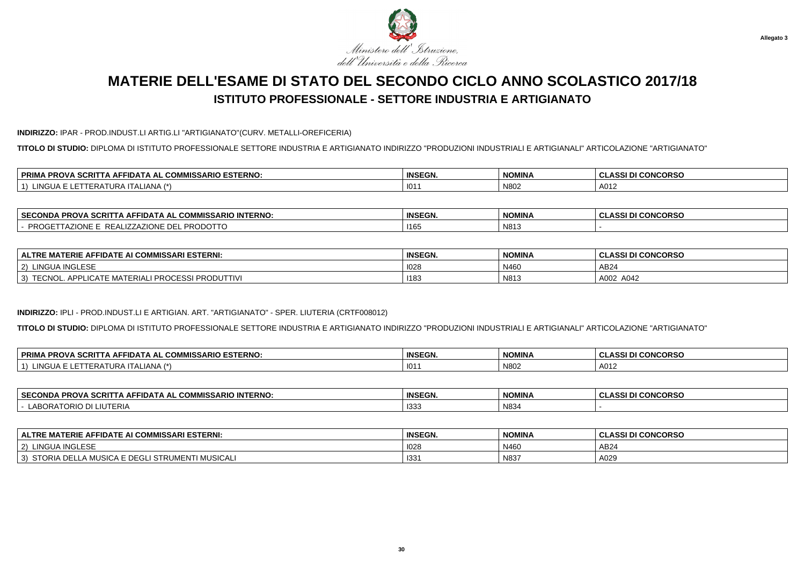

#### **INDIRIZZO:** IPAR - PROD.INDUST.LI ARTIG.LI "ARTIGIANATO"(CURV. METALLI-OREFICERIA)

**TITOLO DI STUDIO:** DIPLOMA DI ISTITUTO PROFESSIONALE SETTORE INDUSTRIA E ARTIGIANATO INDIRIZZO "PRODUZIONI INDUSTRIALI E ARTIGIANALI" ARTICOLAZIONE "ARTIGIANATO"

| . COMMISSARIO ESTERNO:<br><b>PRIMA</b><br>. SCRIT<br><b>PROVA</b><br>FIDA<br>$\mathbf{r}$<br>1 A A F | <b>INSEGN.</b> | <b>NOMINA</b> | <b>I CONCORSO</b><br>ULASSI DI ∩∕ |
|------------------------------------------------------------------------------------------------------|----------------|---------------|-----------------------------------|
| ING<br>- 12<br><b>AIVA</b>                                                                           | 101            | N80.          | A012                              |

| <b>SECONDA</b><br><b>IISSARIO INTERNO:</b><br><b>PROVA SCRIT</b><br>$\sim$<br>$\ldots$ A AFFIDATA AL $\sim$<br>AL GUI | <b>INSEGN.</b> | <b>NOMINA</b> | <b>CONCORSO</b><br>$\sim$<br>uladai |
|-----------------------------------------------------------------------------------------------------------------------|----------------|---------------|-------------------------------------|
| ומחח<br>71011<br>…∟IZZAZIONE DEL PE<br><b>PRO</b><br>ו ∆ = כ<br>RODOTTO<br>LIUNE -<br>$\mathbf{A}$<br>. .<br>$\cdots$ | 1165           | N813          |                                     |

| <b>FIDATE AI COMMISSARI ESTERNI:</b><br>'ERIE AI<br>--<br><b>ALTRE</b><br>. A E<br>MA                           | <b>INSEGN.</b> | <b>NOMINA</b>                     | <b>I CONCORSO</b><br><b>ASSIT</b><br>. GLAJJI DI |
|-----------------------------------------------------------------------------------------------------------------|----------------|-----------------------------------|--------------------------------------------------|
| A INGLESE<br>$ 2\rangle$<br>LINGUA                                                                              | 1028           | N460                              | AB24                                             |
| <b>I PRODUTTIVI</b><br><b>PROCE</b><br>ESSI<br><b>APPI</b><br><b>TE MATERIAL</b><br>3)<br>EUNU<br><b>LIUAIF</b> | 1183           | N <sub>104</sub><br><b>INO IS</b> | A002<br>A042                                     |

#### **INDIRIZZO:** IPLI - PROD.INDUST.LI E ARTIGIAN. ART. "ARTIGIANATO" - SPER. LIUTERIA (CRTF008012)

**TITOLO DI STUDIO:** DIPLOMA DI ISTITUTO PROFESSIONALE SETTORE INDUSTRIA E ARTIGIANATO INDIRIZZO "PRODUZIONI INDUSTRIALI E ARTIGIANALI" ARTICOLAZIONE "ARTIGIANATO"

| <b>、SCRIT</b><br><b>PRIM</b><br><i>I</i> IISSARIO ESTERNO:<br><b>COMMICS</b><br>AFFIDAT≀<br><b>PROVA</b><br>.<br>AL<br><b>UUNIV</b><br>. н | <b>INSEGN.</b> | <b>NOMINA</b> | I CONCORSO<br>.001E.<br>$\sim$<br>333 L<br>◡ |
|--------------------------------------------------------------------------------------------------------------------------------------------|----------------|---------------|----------------------------------------------|
| i INGUA<br>IANA<br>$\mathcal{L}$<br>FRA<br>URA.<br><u> ப</u><br>$\overline{\phantom{a}}$<br>. .                                            | 101            | N802          | A012                                         |

| <b>SECONDA</b><br>$-0.02$<br>CRIT<br><b>INTERNO:</b><br>L COMMISSARIO<br><b>\ AFFIDATA AL</b><br>-ru | <b>INSEGN.</b> | <b>NOMINA</b> | I DI CONCORSO<br>.<br>$\sim$<br>ULA. |
|------------------------------------------------------------------------------------------------------|----------------|---------------|--------------------------------------|
| ABOR <sub>r</sub><br>.<br>I ORIO DI LIUTERIA                                                         | 133.           | N834          |                                      |

| <b>ALTRE MATERIE AFFIDATE AI COMMISSARI ESTERNI:</b>                                         | <b>INSEGN.</b> | <b>NOMINA</b> | ASSI DI CONCORSO<br>ノ∟冖៶ |
|----------------------------------------------------------------------------------------------|----------------|---------------|--------------------------|
| LINGUA INGLESE<br>$\sim$<br>-2)                                                              | 1028           | N460          | AB24                     |
| <b>MUSICAL</b><br>، E DEGL<br>⊥LLA MUSICA <sup>r</sup><br>STORIA DE'<br>STRI<br><b>UMENT</b> | 133            | N837          | A029                     |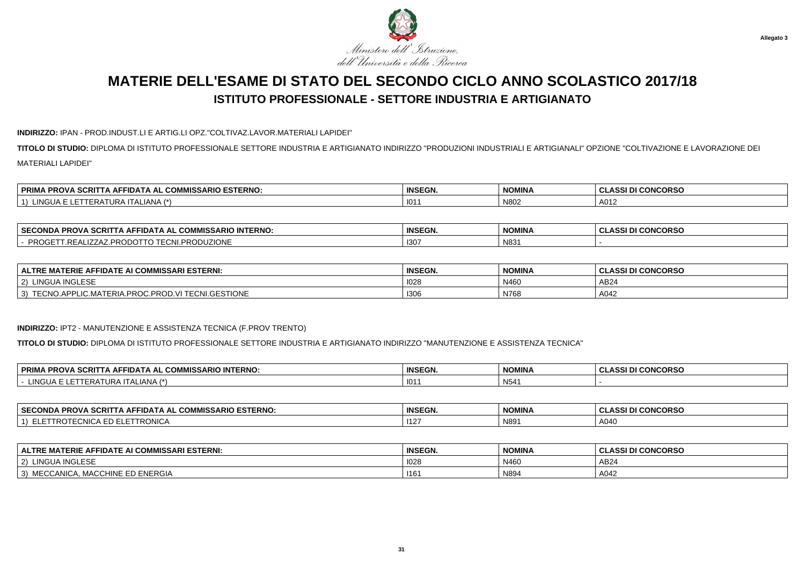

#### **INDIRIZZO:** IPAN - PROD.INDUST.LI E ARTIG.LI OPZ."COLTIVAZ.LAVOR.MATERIALI LAPIDEI"

**TITOLO DI STUDIO:** DIPLOMA DI ISTITUTO PROFESSIONALE SETTORE INDUSTRIA E ARTIGIANATO INDIRIZZO "PRODUZIONI INDUSTRIALI E ARTIGIANALI" OPZIONE "COLTIVAZIONE E LAVORAZIONE DEIMATERIALI LAPIDEI"

| L COMMISSARIO ESTERNO:<br><b>PRIMA</b><br><b>A SCRITTA AFF</b><br><b>PROVA</b><br>TIDATA AL | <b>INSEGN.</b> | NOMINA | <b>I CONCORSO</b><br><b>CLASSI DI</b> ان |
|---------------------------------------------------------------------------------------------|----------------|--------|------------------------------------------|
| <b>ING</b><br>`ALIANA`<br>$\overline{A}$                                                    | 101            | N80    | A012                                     |

| <b>TERNO</b><br><b>SECONDA</b><br>. SCRIT<br>COMMICC.<br><b>AFFIDAT</b><br>$\sim$ ADIO INTT<br>. DD <i>r</i><br>$\mathbf{r}$<br><b>PRUVA</b><br><b>UUMMIJJ</b> JA<br>- | <b>INSEGN.</b> | <b>NOMINA</b> | I CONCORSO<br><b>CLASSI</b> |
|------------------------------------------------------------------------------------------------------------------------------------------------------------------------|----------------|---------------|-----------------------------|
| <b>710115</b><br><b></b><br>PRO<br>--<br>' Ρk.<br>.RF<br><b>UZIUNE</b><br>–∪NLF<br>$\cdot$ . $\cup$ $\cup$ $\cdot$<br>. .                                              | 130            | N83           |                             |

| : MATERIE AFFIDATE AI COMMISSARI ESTERNI:<br><b>ALTRI</b>                               | <b>INSEGN.</b>   | <b>NOMINA</b> | <b>CONCORSO</b><br>$\sim$<br>.001 <sub>0</sub><br>∴ ULAN∵<br>833 L |
|-----------------------------------------------------------------------------------------|------------------|---------------|--------------------------------------------------------------------|
| <b>INGLESE</b><br>' INGUA                                                               | 1028             | N460          | AB <sub>2</sub>                                                    |
| .GESTIONE<br><b>TEON</b><br>.PROD.VI<br>-<br>~<br>PLIC.MATERIA.PROC.<br>TEUNU.<br>- VIV | 130 <sub>0</sub> | N768          | A042                                                               |

#### **INDIRIZZO:** IPT2 - MANUTENZIONE E ASSISTENZA TECNICA (F.PROV TRENTO)

**TITOLO DI STUDIO:** DIPLOMA DI ISTITUTO PROFESSIONALE SETTORE INDUSTRIA E ARTIGIANATO INDIRIZZO "MANUTENZIONE E ASSISTENZA TECNICA"

| 'A SCRIT<br><b>PRIM</b><br><b>INTERNO.</b><br><b>PROV</b><br>$\mathbf{A}$ $\mathbf{B}$<br>I I A AFFIDA I<br>'MIS<br>. MM<br>וואו | <b>INSEGN.</b> | <b>NOMINA</b> | <b>I CONCORSC</b><br>A CC'<br>$\ddot{\phantom{1}}$<br>ULAJJ.<br>. . |
|----------------------------------------------------------------------------------------------------------------------------------|----------------|---------------|---------------------------------------------------------------------|
| INGUA<br>4 <sup>2</sup><br>.<br>$\cdot$ i Aliana $\prime$<br>---                                                                 | 101            | N54'          |                                                                     |

| <b>SECOND∤</b> '<br><b>ESTERNO:</b><br><b>SCRI</b><br><b>MICC</b><br>IMISSARIO<br><b>PROVA</b><br>ا ا هدا هن<br>. .<br>Nija<br>۱۷۱ ک | <b>INSEGN.</b> | <b>NOMINA</b> | <b>CLASSI DI CONCORSO</b> |
|--------------------------------------------------------------------------------------------------------------------------------------|----------------|---------------|---------------------------|
| TTRONICA<br>.NI<br>'NU                                                                                                               | $ 12\rangle$   | N89           | A040                      |

| E MATERIE AFFIDATE AI COMMISSARI ESTERNI:<br><b>ALTRE</b> | <b>INSEGN.</b> | <b>NOMINA</b> | <b>CLASSI DI CONCORSO</b> |
|-----------------------------------------------------------|----------------|---------------|---------------------------|
| UA INGLESE<br>LINGU/<br>$'$ 2)                            | 1028           | N460          | AB24                      |
| HINE ED ENERGIA<br>MECCANICA,<br>3)<br>MACCH              | 1161           | N894          | A042                      |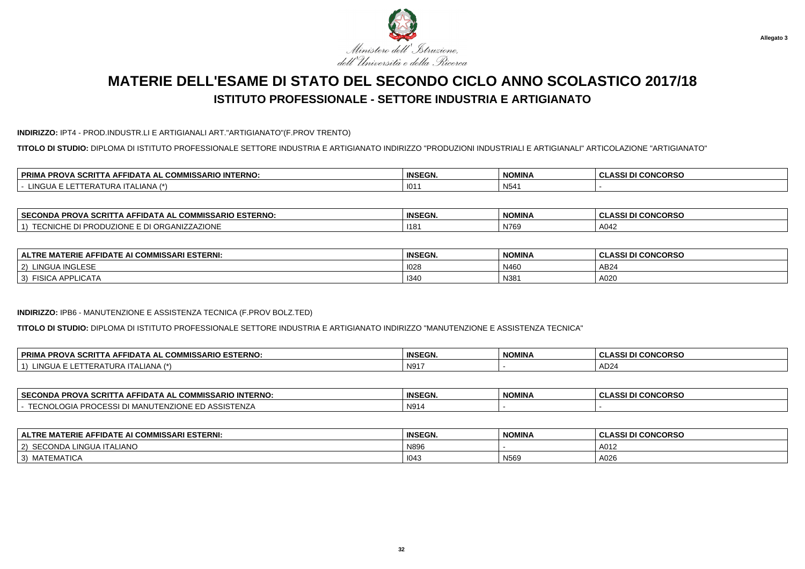

#### **INDIRIZZO:** IPT4 - PROD.INDUSTR.LI E ARTIGIANALI ART."ARTIGIANATO"(F.PROV TRENTO)

**TITOLO DI STUDIO:** DIPLOMA DI ISTITUTO PROFESSIONALE SETTORE INDUSTRIA E ARTIGIANATO INDIRIZZO "PRODUZIONI INDUSTRIALI E ARTIGIANALI" ARTICOLAZIONE "ARTIGIANATO"

| CCDIT<br><b>COMMISSARIO</b><br><b>'IO INTERNO.</b><br>∣ PRIMA<br>ווטי<br>FFIDA<br>\ AL<br>. Аг<br>. SURII<br>אשי | <b>INSEGN.</b> | <b>NOMINA</b>       | <b>I CONCORSO</b><br>1221<br>8551 |
|------------------------------------------------------------------------------------------------------------------|----------------|---------------------|-----------------------------------|
| <b>INGUA</b><br>ITALIANA<br>- 1*<br>FR/<br>1 U D A 1                                                             | . 101          | $\mathbf{A}$<br>N54 |                                   |

| <b>SECC</b><br>. COMMISSARIO ESTERNO:<br>$\sim$<br><b>PROVA SCRI</b><br>ECONDA<br>-IDA I A AL | <b>INSEGN.</b> | NOMINA | <b>CONCORSC</b><br>$\sim$<br>. VECI L<br>533 L<br>◡└ |
|-----------------------------------------------------------------------------------------------|----------------|--------|------------------------------------------------------|
| ANIZZAZIONE<br>$\sim$<br>ORGA"<br>LIUNE.<br>.<br><u>_ _ _</u>                                 | 118'           | N769   | $\Lambda$ $\Omega$<br>$\overline{a}$<br>− 1 4 −      |

| <b>FIDATE AI COMMISSARI ESTERNI:</b><br><b>TERIE A.</b><br>. .<br><b>ALTRE</b><br>Δ⊢<br>MAI | <b>INSEGN.</b> | <b>NOMINA</b> | <b>I CONCORSO</b><br>30015<br>$\sim$<br>833 U<br>◡ |
|---------------------------------------------------------------------------------------------|----------------|---------------|----------------------------------------------------|
| <b>AINGLESF</b><br>LINGU/<br>(2)                                                            | 1028           | N460          | AB <sub>24</sub>                                   |
| $\sim$ $\sim$<br><b>FISICA APPL.</b><br>3)<br>LICATA -                                      | 1340           | N381          | A020                                               |

#### **INDIRIZZO:** IPB6 - MANUTENZIONE E ASSISTENZA TECNICA (F.PROV BOLZ.TED)

**TITOLO DI STUDIO:** DIPLOMA DI ISTITUTO PROFESSIONALE SETTORE INDUSTRIA E ARTIGIANATO INDIRIZZO "MANUTENZIONE E ASSISTENZA TECNICA"

| <b>PRIM</b><br><b>SCRIT</b><br><b>ESTERNO</b><br>COMMICS.<br><b>IISSARIO</b><br><b>PROVA</b> .<br>$\cdot$ FFIDA.<br>ΑL<br>- wuwe<br>יי | <b>INSEGN</b> | <b>NOMINA</b> | I DI CONCORSO<br>$\mathbf{A}$<br><b>ULAJJI</b> |
|----------------------------------------------------------------------------------------------------------------------------------------|---------------|---------------|------------------------------------------------|
| INGUA<br>$\overline{\phantom{a}}$<br>FRA<br>IANA<br>URA<br><u>д</u><br>$\sqrt{ }$                                                      | N917          |               | $\sim$<br>$. \overline{AD}$                    |

| <b>SECC</b><br>---<br>$^{\circ}$ and $\sim$<br>יים<br>. PROV<br>IN AIAN<br>. SURI.<br>™WISSARIU .<br>'INIERNU.<br>uur | <b>INSEGN.</b> | <b>NOMINA</b> | $\cdots$<br>שטטאאנ<br>u<br>w<br>-331 |
|-----------------------------------------------------------------------------------------------------------------------|----------------|---------------|--------------------------------------|
| ``<br><b>A</b><br>ר ובויר איז ויי<br>וצונ<br>an Uli<br>IVI.<br>ורהרה<br>r<br>.                                        | N91            |               |                                      |

| E AFFIDATE AI COMMISSARI ESTERNI:<br><b>ALTRE MATERIE</b> | <b>INSEGN</b> | <b>NOMINA</b> | <b>I CONCORSO</b><br><b>ASSI DI</b> |
|-----------------------------------------------------------|---------------|---------------|-------------------------------------|
| SECONDA LINGUA ITALIANO<br>$\sim$                         | N896          |               | A012                                |
| <b>MATEMATICA</b><br>$\sim$<br>ັບເ                        | 1043          | N569          | A026                                |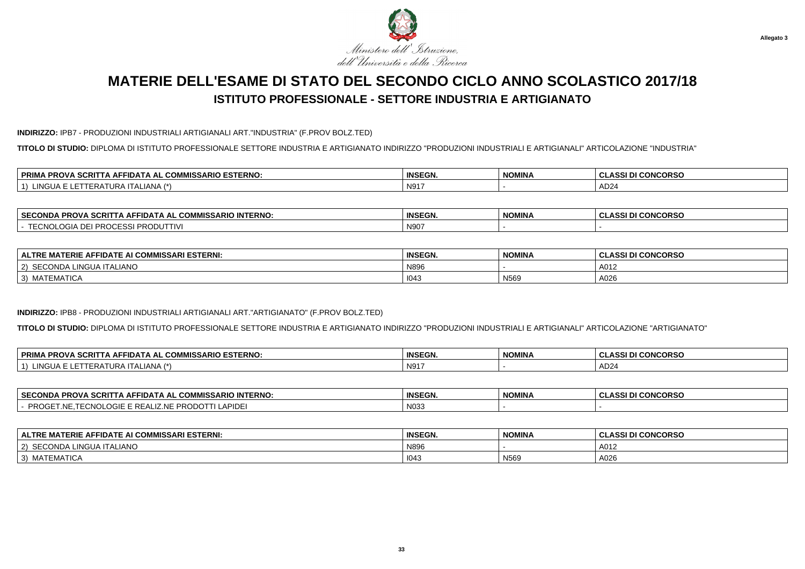

#### **INDIRIZZO:** IPB7 - PRODUZIONI INDUSTRIALI ARTIGIANALI ART."INDUSTRIA" (F.PROV BOLZ.TED)

**TITOLO DI STUDIO:** DIPLOMA DI ISTITUTO PROFESSIONALE SETTORE INDUSTRIA E ARTIGIANATO INDIRIZZO "PRODUZIONI INDUSTRIALI E ARTIGIANALI" ARTICOLAZIONE "INDUSTRIA"

| ----<br><b>COMMISSARIO ESTERNO:</b><br><b>PRIM</b><br>ווטי<br><b>AFFIDA</b><br>\ AL<br>. JURII<br>אשי | <b>INSEGN.</b> | <b>NOMINA</b> | <b>I CONCORSO</b><br><b>ACCI</b><br>8551 |
|-------------------------------------------------------------------------------------------------------|----------------|---------------|------------------------------------------|
| 11121<br>TALIANA.<br>NGUA<br>. .<br>ERF<br>UNA                                                        | 1 N91          |               | $\sqrt{2}$<br>. ADZ4                     |

| ⊣ SEC∩<br>COMMISSARIO<br><b>INTERNO:</b><br>opov<br>=CONDA<br>IDA I A AL<br>- JURIT<br>7 N U | <b>INSEGN.</b>   | NOMINA | <b>CONCORSO</b><br>.001<br>8331 |
|----------------------------------------------------------------------------------------------|------------------|--------|---------------------------------|
| - / N<br>PR.<br>DD.<br>ЛJ<br><b>IIV</b><br>.<br>.                                            | N90 <sup>-</sup> |        |                                 |

| E MATERIE AFFIDATE AI COMMISSARI ESTERNI:<br><b>ALTRE</b> | <b>INSEGN.</b> | <b>NOMINA</b> | <b>I CONCORSO</b><br>. ASSI P<br>יי וחן ופפאדור ו |
|-----------------------------------------------------------|----------------|---------------|---------------------------------------------------|
| SECONDA LINGUA ITALIANO<br>2)                             | N89            |               | A012                                              |
| MATEMATICA<br>$\vert 3 \rangle$                           | 1043           | N569          | A026                                              |

#### **INDIRIZZO:** IPB8 - PRODUZIONI INDUSTRIALI ARTIGIANALI ART."ARTIGIANATO" (F.PROV BOLZ.TED)

**TITOLO DI STUDIO:** DIPLOMA DI ISTITUTO PROFESSIONALE SETTORE INDUSTRIA E ARTIGIANATO INDIRIZZO "PRODUZIONI INDUSTRIALI E ARTIGIANALI" ARTICOLAZIONE "ARTIGIANATO"

| <b>PRIMA</b><br><b>DIO ESTERNO.</b><br>$\sim$<br>$P^{\text{max}}$<br>$\sim$<br><b>"ISSARI\</b><br>\ SCRITTA AFI<br><b>PROVA</b><br><b>HIDAIA</b><br>IA AL<br>w | <b>INSEGN.</b>   | NOMINA | <b>II CONCORSO</b><br>$\sim$<br>A CCI P<br>- GLAJJI DI |
|----------------------------------------------------------------------------------------------------------------------------------------------------------------|------------------|--------|--------------------------------------------------------|
| _INGU<br>√∟IANA<br>∴A ITAL∶<br>.<br>╶╿┡┡┢<br>,,,,,,                                                                                                            | N91 <sup>-</sup> |        | AD <sub>24</sub>                                       |

| <b>SECONDA</b><br>$\mathsf{C}\mathsf{R}$ ITTA .<br><b>INTERNO:</b><br><b>AL COMMISSARIO</b><br>A AFFIDATA AL<br>rru.                                    | <b>INSEGN.</b>  | <b>NOMINA</b> | <b>CONCORSO:</b><br>$\cdots$<br>133 U<br>u<br>w |
|---------------------------------------------------------------------------------------------------------------------------------------------------------|-----------------|---------------|-------------------------------------------------|
| .000<br>PROGF <sup>*</sup><br>$\cdots$ $\sim$<br>$\sim$ $\sim$<br><b>NIF</b><br>וני<br>PLUGIE E REZ<br>וש∆<br>11 I I<br><b>NUL</b><br>ᄂᇅ៶<br>1 N L<br>ᆞ | N <sub>03</sub> |               |                                                 |

| E AFFIDATE AI COMMISSARI ESTERNI:<br><b>ALTRE MATERIE</b> | <b>INSEGN</b> | <b>NOMINA</b> | <b>I CONCORSO</b><br><b>ASSI DI</b> |
|-----------------------------------------------------------|---------------|---------------|-------------------------------------|
| SECONDA LINGUA ITALIANO<br>$\sim$                         | N896          |               | A012                                |
| <b>MATEMATICA</b><br>$\sim$<br>ັບເ                        | 1043          | N569          | A026                                |